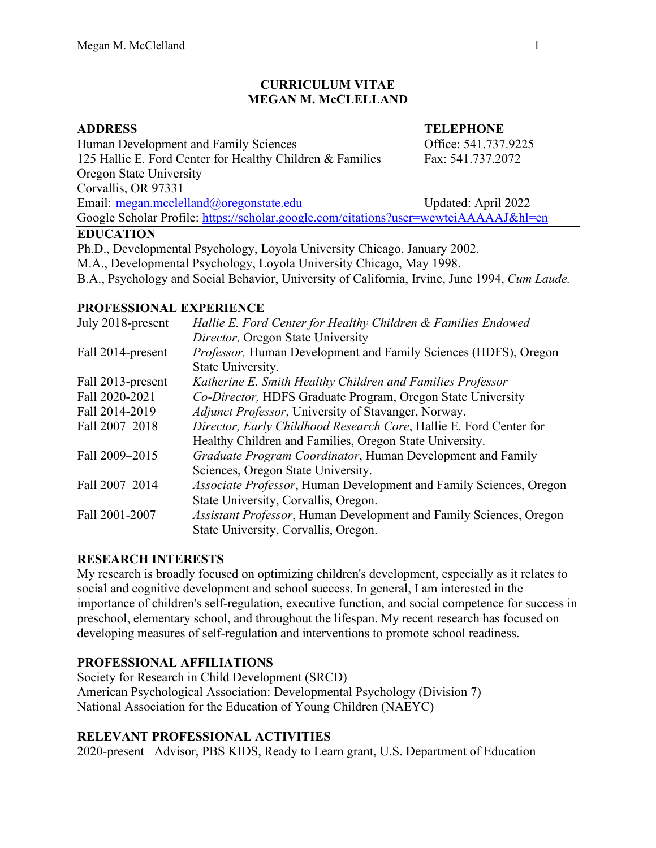#### **CURRICULUM VITAE MEGAN M. McCLELLAND**

#### **ADDRESS TELEPHONE**

Human Development and Family Sciences **Example 2018** Office: 541.737.9225 125 Hallie E. Ford Center for Healthy Children & Families Fax: 541.737.2072 Oregon State University Corvallis, OR 97331 Email: [megan.mcclelland@oregonstate.edu](mailto:megan.mcclelland@oregonstate.edu) Updated: April 2022

Google Scholar Profile:<https://scholar.google.com/citations?user=wewteiAAAAAJ&hl=en>

#### **EDUCATION**

Ph.D., Developmental Psychology, Loyola University Chicago, January 2002.

M.A., Developmental Psychology, Loyola University Chicago, May 1998.

B.A., Psychology and Social Behavior, University of California, Irvine, June 1994, *Cum Laude.*

# **PROFESSIONAL EXPERIENCE**

| Hallie E. Ford Center for Healthy Children & Families Endowed      |  |
|--------------------------------------------------------------------|--|
| Director, Oregon State University                                  |  |
| Professor, Human Development and Family Sciences (HDFS), Oregon    |  |
| State University.                                                  |  |
| Katherine E. Smith Healthy Children and Families Professor         |  |
| Co-Director, HDFS Graduate Program, Oregon State University        |  |
| Adjunct Professor, University of Stavanger, Norway.                |  |
| Director, Early Childhood Research Core, Hallie E. Ford Center for |  |
| Healthy Children and Families, Oregon State University.            |  |
| Graduate Program Coordinator, Human Development and Family         |  |
| Sciences, Oregon State University.                                 |  |
| Associate Professor, Human Development and Family Sciences, Oregon |  |
| State University, Corvallis, Oregon.                               |  |
| Assistant Professor, Human Development and Family Sciences, Oregon |  |
| State University, Corvallis, Oregon.                               |  |
|                                                                    |  |

# **RESEARCH INTERESTS**

My research is broadly focused on optimizing children's development, especially as it relates to social and cognitive development and school success. In general, I am interested in the importance of children's self-regulation, executive function, and social competence for success in preschool, elementary school, and throughout the lifespan. My recent research has focused on developing measures of self-regulation and interventions to promote school readiness.

# **PROFESSIONAL AFFILIATIONS**

Society for Research in Child Development (SRCD) American Psychological Association: Developmental Psychology (Division 7) National Association for the Education of Young Children (NAEYC)

# **RELEVANT PROFESSIONAL ACTIVITIES**

2020-present Advisor, PBS KIDS, Ready to Learn grant, U.S. Department of Education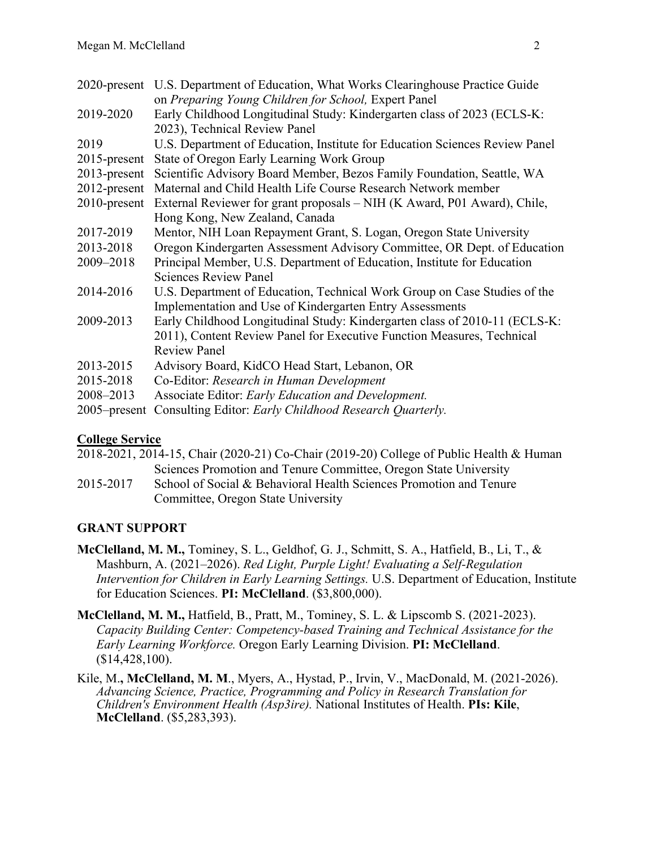|                 | 2020-present U.S. Department of Education, What Works Clearinghouse Practice Guide                                                                               |  |  |
|-----------------|------------------------------------------------------------------------------------------------------------------------------------------------------------------|--|--|
| 2019-2020       | on Preparing Young Children for School, Expert Panel<br>Early Childhood Longitudinal Study: Kindergarten class of 2023 (ECLS-K:<br>2023), Technical Review Panel |  |  |
| 2019            | U.S. Department of Education, Institute for Education Sciences Review Panel                                                                                      |  |  |
| $2015$ -present | State of Oregon Early Learning Work Group                                                                                                                        |  |  |
| $2013$ -present | Scientific Advisory Board Member, Bezos Family Foundation, Seattle, WA                                                                                           |  |  |
| $2012$ -present | Maternal and Child Health Life Course Research Network member                                                                                                    |  |  |
| $2010$ -present | External Reviewer for grant proposals – NIH (K Award, P01 Award), Chile,                                                                                         |  |  |
|                 | Hong Kong, New Zealand, Canada                                                                                                                                   |  |  |
| 2017-2019       | Mentor, NIH Loan Repayment Grant, S. Logan, Oregon State University                                                                                              |  |  |
| 2013-2018       | Oregon Kindergarten Assessment Advisory Committee, OR Dept. of Education                                                                                         |  |  |
| 2009-2018       | Principal Member, U.S. Department of Education, Institute for Education                                                                                          |  |  |
|                 | <b>Sciences Review Panel</b>                                                                                                                                     |  |  |
| 2014-2016       | U.S. Department of Education, Technical Work Group on Case Studies of the<br>Implementation and Use of Kindergarten Entry Assessments                            |  |  |
| 2009-2013       | Early Childhood Longitudinal Study: Kindergarten class of 2010-11 (ECLS-K:                                                                                       |  |  |
|                 | 2011), Content Review Panel for Executive Function Measures, Technical                                                                                           |  |  |
|                 | <b>Review Panel</b>                                                                                                                                              |  |  |
| 2013-2015       | Advisory Board, KidCO Head Start, Lebanon, OR                                                                                                                    |  |  |
| 2015-2018       | Co-Editor: Research in Human Development                                                                                                                         |  |  |
| 2008-2013       | Associate Editor: Early Education and Development.                                                                                                               |  |  |
| $2005$ -present | Consulting Editor: Early Childhood Research Quarterly.                                                                                                           |  |  |
|                 |                                                                                                                                                                  |  |  |

# **College Service**

|           | 2018-2021, 2014-15, Chair (2020-21) Co-Chair (2019-20) College of Public Health & Human |
|-----------|-----------------------------------------------------------------------------------------|
|           | Sciences Promotion and Tenure Committee, Oregon State University                        |
| 2015-2017 | School of Social & Behavioral Health Sciences Promotion and Tenure                      |
|           | Committee, Oregon State University                                                      |

# **GRANT SUPPORT**

- **McClelland, M. M.,** Tominey, S. L., Geldhof, G. J., Schmitt, S. A., Hatfield, B., Li, T., & Mashburn, A. (2021–2026). *Red Light, Purple Light! Evaluating a Self-Regulation Intervention for Children in Early Learning Settings.* U.S. Department of Education, Institute for Education Sciences. **PI: McClelland**. (\$3,800,000).
- **McClelland, M. M.,** Hatfield, B., Pratt, M., Tominey, S. L. & Lipscomb S. (2021-2023). *Capacity Building Center: Competency-based Training and Technical Assistance for the Early Learning Workforce.* Oregon Early Learning Division. **PI: McClelland**. (\$14,428,100).
- Kile, M.**, McClelland, M. M**., Myers, A., Hystad, P., Irvin, V., MacDonald, M. (2021-2026). *Advancing Science, Practice, Programming and Policy in Research Translation for Children's Environment Health (Asp3ire).* National Institutes of Health. **PIs: Kile**, **McClelland**. (\$5,283,393).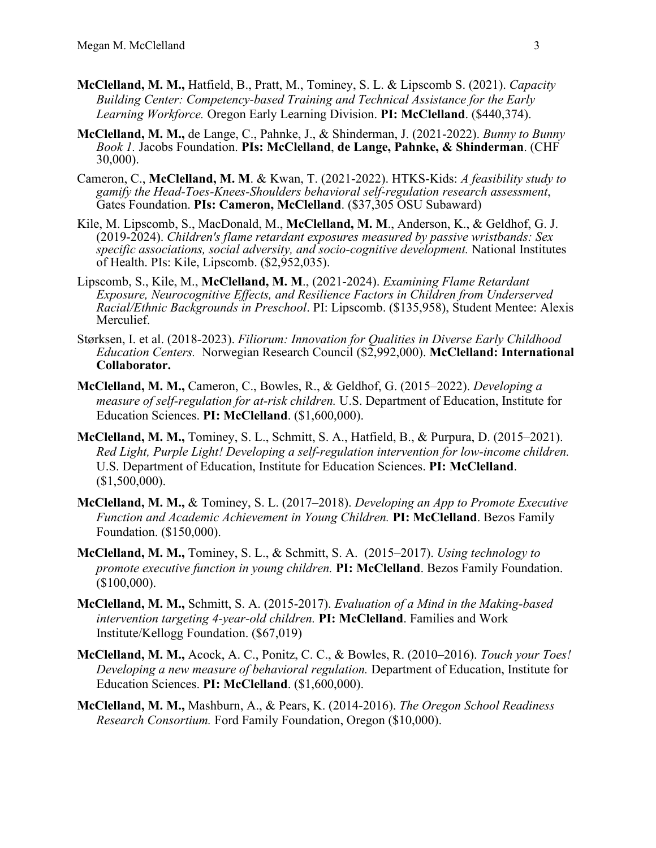- **McClelland, M. M.,** Hatfield, B., Pratt, M., Tominey, S. L. & Lipscomb S. (2021). *Capacity Building Center: Competency-based Training and Technical Assistance for the Early Learning Workforce.* Oregon Early Learning Division. **PI: McClelland**. (\$440,374).
- **McClelland, M. M.,** de Lange, C., Pahnke, J., & Shinderman, J. (2021-2022). *Bunny to Bunny Book 1.* Jacobs Foundation. **PIs: McClelland**, **de Lange, Pahnke, & Shinderman**. (CHF 30,000).
- Cameron, C., **McClelland, M. M**. & Kwan, T. (2021-2022). HTKS-Kids: *A feasibility study to gamify the Head-Toes-Knees-Shoulders behavioral self-regulation research assessment*, Gates Foundation. **PIs: Cameron, McClelland**. (\$37,305 OSU Subaward)
- Kile, M. Lipscomb, S., MacDonald, M., **McClelland, M. M**., Anderson, K., & Geldhof, G. J. (2019-2024). *Children's flame retardant exposures measured by passive wristbands: Sex specific associations, social adversity, and socio-cognitive development.* National Institutes of Health. PIs: Kile, Lipscomb. (\$2,952,035).
- Lipscomb, S., Kile, M., **McClelland, M. M**., (2021-2024). *Examining Flame Retardant Exposure, Neurocognitive Effects, and Resilience Factors in Children from Underserved Racial/Ethnic Backgrounds in Preschool*. PI: Lipscomb. (\$135,958), Student Mentee: Alexis Merculief.
- Størksen, I. et al. (2018-2023). *Filiorum: Innovation for Qualities in Diverse Early Childhood Education Centers.* Norwegian Research Council (\$2,992,000). **McClelland: International Collaborator.**
- **McClelland, M. M.,** Cameron, C., Bowles, R., & Geldhof, G. (2015–2022). *Developing a measure of self-regulation for at-risk children.* U.S. Department of Education, Institute for Education Sciences. **PI: McClelland**. (\$1,600,000).
- **McClelland, M. M.,** Tominey, S. L., Schmitt, S. A., Hatfield, B., & Purpura, D. (2015–2021). *Red Light, Purple Light! Developing a self-regulation intervention for low-income children.* U.S. Department of Education, Institute for Education Sciences. **PI: McClelland**. (\$1,500,000).
- **McClelland, M. M.,** & Tominey, S. L. (2017–2018). *Developing an App to Promote Executive Function and Academic Achievement in Young Children.* **PI: McClelland**. Bezos Family Foundation. (\$150,000).
- **McClelland, M. M.,** Tominey, S. L., & Schmitt, S. A. (2015–2017). *Using technology to promote executive function in young children.* **PI: McClelland**. Bezos Family Foundation. (\$100,000).
- **McClelland, M. M.,** Schmitt, S. A. (2015-2017). *Evaluation of a Mind in the Making-based intervention targeting 4-year-old children.* **PI: McClelland**. Families and Work Institute/Kellogg Foundation. (\$67,019)
- **McClelland, M. M.,** Acock, A. C., Ponitz, C. C., & Bowles, R. (2010–2016). *Touch your Toes! Developing a new measure of behavioral regulation.* Department of Education, Institute for Education Sciences. **PI: McClelland**. (\$1,600,000).
- **McClelland, M. M.,** Mashburn, A., & Pears, K. (2014-2016). *The Oregon School Readiness Research Consortium.* Ford Family Foundation, Oregon (\$10,000).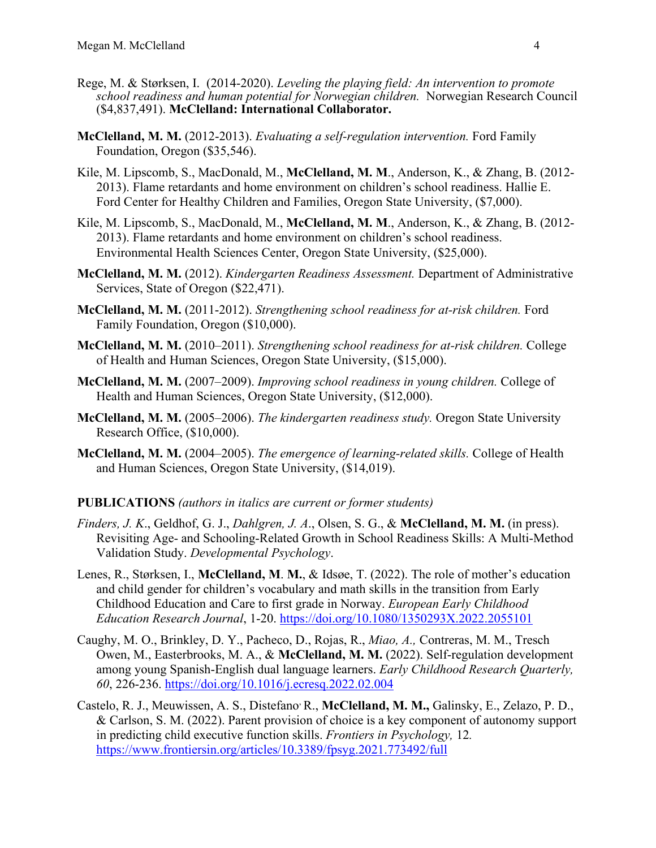- Rege, M. & Størksen, I. (2014-2020). *Leveling the playing field: An intervention to promote school readiness and human potential for Norwegian children.* Norwegian Research Council (\$4,837,491). **McClelland: International Collaborator.**
- **McClelland, M. M.** (2012-2013). *Evaluating a self-regulation intervention.* Ford Family Foundation, Oregon (\$35,546).
- Kile, M. Lipscomb, S., MacDonald, M., **McClelland, M. M**., Anderson, K., & Zhang, B. (2012- 2013). Flame retardants and home environment on children's school readiness. Hallie E. Ford Center for Healthy Children and Families, Oregon State University, (\$7,000).
- Kile, M. Lipscomb, S., MacDonald, M., **McClelland, M. M**., Anderson, K., & Zhang, B. (2012- 2013). Flame retardants and home environment on children's school readiness. Environmental Health Sciences Center, Oregon State University, (\$25,000).
- **McClelland, M. M.** (2012). *Kindergarten Readiness Assessment.* Department of Administrative Services, State of Oregon (\$22,471).
- **McClelland, M. M.** (2011-2012). *Strengthening school readiness for at-risk children.* Ford Family Foundation, Oregon (\$10,000).
- **McClelland, M. M.** (2010–2011). *Strengthening school readiness for at-risk children.* College of Health and Human Sciences, Oregon State University, (\$15,000).
- **McClelland, M. M.** (2007–2009). *Improving school readiness in young children.* College of Health and Human Sciences, Oregon State University, (\$12,000).
- **McClelland, M. M.** (2005–2006). *The kindergarten readiness study.* Oregon State University Research Office, (\$10,000).
- **McClelland, M. M.** (2004–2005). *The emergence of learning-related skills.* College of Health and Human Sciences, Oregon State University, (\$14,019).

# **PUBLICATIONS** *(authors in italics are current or former students)*

- *Finders, J. K*., Geldhof, G. J., *Dahlgren, J. A*., Olsen, S. G., & **McClelland, M. M.** (in press). Revisiting Age- and Schooling-Related Growth in School Readiness Skills: A Multi-Method Validation Study. *Developmental Psychology*.
- Lenes, R., Størksen, I., **McClelland, M**. **M.**, & Idsøe, T. (2022). The role of mother's education and child gender for children's vocabulary and math skills in the transition from Early Childhood Education and Care to first grade in Norway. *European Early Childhood Education Research Journal*, 1-20.<https://doi.org/10.1080/1350293X.2022.2055101>
- Caughy, M. O., Brinkley, D. Y., Pacheco, D., Rojas, R., *Miao, A.,* Contreras, M. M., Tresch Owen, M., Easterbrooks, M. A., & **McClelland, M. M.** (2022). Self-regulation development among young Spanish-English dual language learners. *Early Childhood Research Quarterly, 60*, 226-236.<https://doi.org/10.1016/j.ecresq.2022.02.004>
- Castelo, R. J., Meuwissen, A. S., Distefano, R., **McClelland, M. M.,** Galinsky, E., Zelazo, P. D., & Carlson, S. M. (2022). Parent provision of choice is a key component of autonomy support in predicting child executive function skills. *Frontiers in Psychology,* 12*.*  <https://www.frontiersin.org/articles/10.3389/fpsyg.2021.773492/full>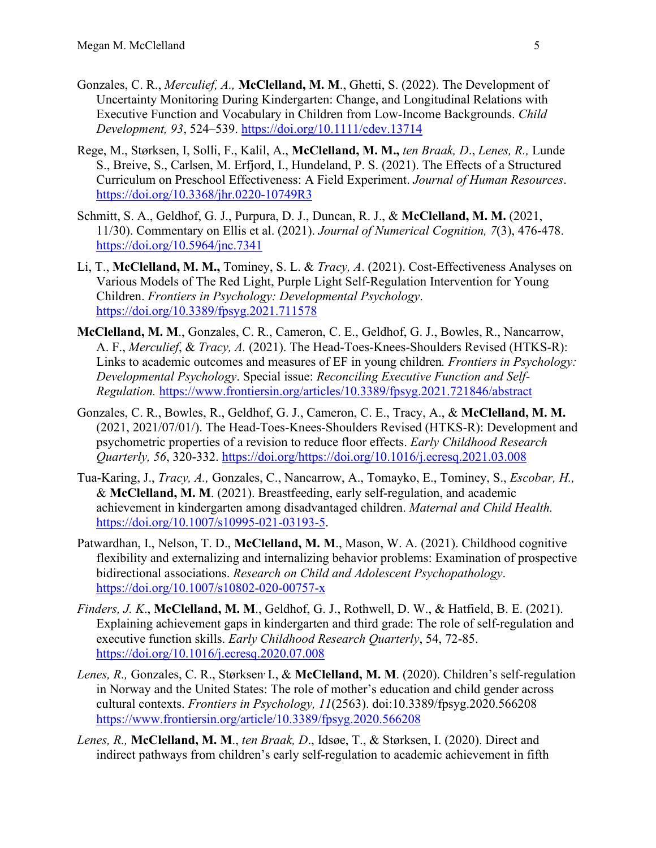- Gonzales, C. R., *Merculief, A.,* **McClelland, M. M**., Ghetti, S. (2022). The Development of Uncertainty Monitoring During Kindergarten: Change, and Longitudinal Relations with Executive Function and Vocabulary in Children from Low-Income Backgrounds. *Child Development, 93*, 524–539. <https://doi.org/10.1111/cdev.13714>
- Rege, M., Størksen, I, Solli, F., Kalil, A., **McClelland, M. M.,** *ten Braak, D*., *Lenes, R.,* Lunde S., Breive, S., Carlsen, M. Erfjord, I., Hundeland, P. S. (2021). The Effects of a Structured Curriculum on Preschool Effectiveness: A Field Experiment. *Journal of Human Resources*. <https://doi.org/10.3368/jhr.0220-10749R3>
- Schmitt, S. A., Geldhof, G. J., Purpura, D. J., Duncan, R. J., & **McClelland, M. M.** (2021, 11/30). Commentary on Ellis et al. (2021). *Journal of Numerical Cognition, 7*(3), 476-478. <https://doi.org/10.5964/jnc.7341>
- Li, T., **McClelland, M. M.,** Tominey, S. L. & *Tracy, A*. (2021). Cost-Effectiveness Analyses on Various Models of The Red Light, Purple Light Self-Regulation Intervention for Young Children. *Frontiers in Psychology: Developmental Psychology*. <https://doi.org/10.3389/fpsyg.2021.711578>
- **McClelland, M. M**., Gonzales, C. R., Cameron, C. E., Geldhof, G. J., Bowles, R., Nancarrow, A. F., *Merculief*, & *Tracy, A.* (2021). The Head-Toes-Knees-Shoulders Revised (HTKS-R): Links to academic outcomes and measures of EF in young children*. Frontiers in Psychology: Developmental Psychology*. Special issue: *Reconciling Executive Function and Self-Regulation.* <https://www.frontiersin.org/articles/10.3389/fpsyg.2021.721846/abstract>
- Gonzales, C. R., Bowles, R., Geldhof, G. J., Cameron, C. E., Tracy, A., & **McClelland, M. M.** (2021, 2021/07/01/). The Head-Toes-Knees-Shoulders Revised (HTKS-R): Development and psychometric properties of a revision to reduce floor effects. *Early Childhood Research Quarterly, 56*, 320-332. [https://doi.org/https://doi.org/10.1016/j.ecresq.2021.03.008](https://doi.org/https:/doi.org/10.1016/j.ecresq.2021.03.008)
- Tua-Karing, J., *Tracy, A.,* Gonzales, C., Nancarrow, A., Tomayko, E., Tominey, S., *Escobar, H.,* & **McClelland, M. M**. (2021). Breastfeeding, early self-regulation, and academic achievement in kindergarten among disadvantaged children. *Maternal and Child Health.*  [https://doi.org/10.1007/s10995-021-03193-5.](https://doi.org/10.1007/s10995-021-03193-5)
- Patwardhan, I., Nelson, T. D., **McClelland, M. M**., Mason, W. A. (2021). Childhood cognitive flexibility and externalizing and internalizing behavior problems: Examination of prospective bidirectional associations. *Research on Child and Adolescent Psychopathology*. <https://doi.org/10.1007/s10802-020-00757-x>
- *Finders, J. K*., **McClelland, M. M**., Geldhof, G. J., Rothwell, D. W., & Hatfield, B. E. (2021). Explaining achievement gaps in kindergarten and third grade: The role of self-regulation and executive function skills. *Early Childhood Research Quarterly*, 54, 72-85. <https://doi.org/10.1016/j.ecresq.2020.07.008>
- Lenes, R., Gonzales, C. R., Størksen<sup>,</sup> I., & **McClelland, M. M.** (2020). Children's self-regulation in Norway and the United States: The role of mother's education and child gender across cultural contexts. *Frontiers in Psychology, 11*(2563). doi:10.3389/fpsyg.2020.566208 <https://www.frontiersin.org/article/10.3389/fpsyg.2020.566208>
- *Lenes, R.,* **McClelland, M. M**., *ten Braak, D*., Idsøe, T., & Størksen, I. (2020). Direct and indirect pathways from children's early self-regulation to academic achievement in fifth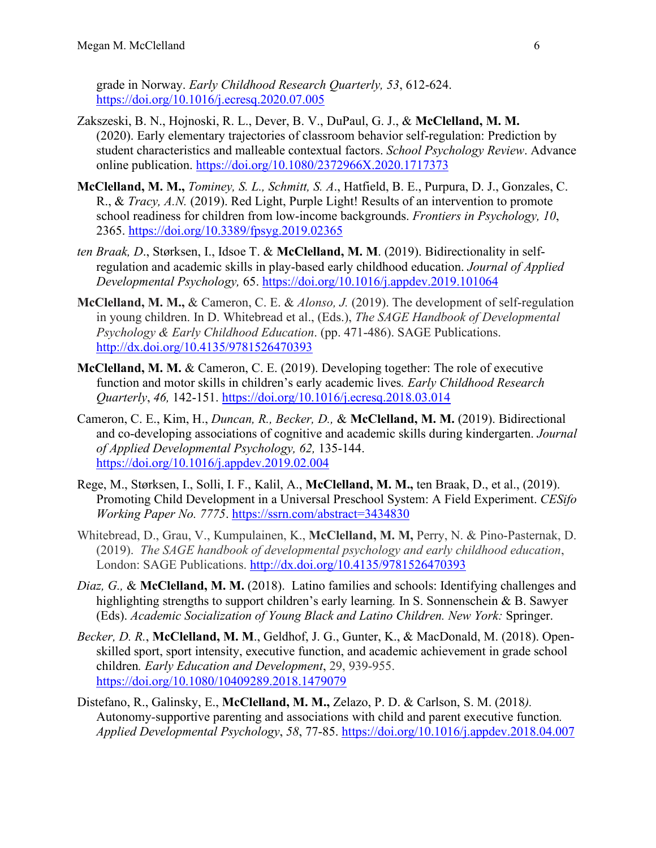grade in Norway. *Early Childhood Research Quarterly, 53*, 612-624. <https://doi.org/10.1016/j.ecresq.2020.07.005>

- Zakszeski, B. N., Hojnoski, R. L., Dever, B. V., DuPaul, G. J., & **McClelland, M. M.** (2020). Early elementary trajectories of classroom behavior self-regulation: Prediction by student characteristics and malleable contextual factors. *School Psychology Review*. Advance online publication.<https://doi.org/10.1080/2372966X.2020.1717373>
- **McClelland, M. M.,** *Tominey, S. L., Schmitt, S. A*., Hatfield, B. E., Purpura, D. J., Gonzales, C. R., & *Tracy, A.N.* (2019). Red Light, Purple Light! Results of an intervention to promote school readiness for children from low-income backgrounds. *Frontiers in Psychology, 10*, 2365.<https://doi.org/10.3389/fpsyg.2019.02365>
- *ten Braak, D*., Størksen, I., Idsoe T. & **McClelland, M. M**. (2019). Bidirectionality in selfregulation and academic skills in play-based early childhood education. *Journal of Applied Developmental Psychology,* 65.<https://doi.org/10.1016/j.appdev.2019.101064>
- **McClelland, M. M.,** & Cameron, C. E. & *Alonso, J.* (2019). The development of self-regulation in young children. In D. Whitebread et al., (Eds.), *The SAGE Handbook of Developmental Psychology & Early Childhood Education*. (pp. 471-486). SAGE Publications. <http://dx.doi.org/10.4135/9781526470393>
- **McClelland, M. M.** & Cameron, C. E. (2019). Developing together: The role of executive function and motor skills in children's early academic lives*. Early Childhood Research Quarterly*, *46,* 142-151.<https://doi.org/10.1016/j.ecresq.2018.03.014>
- Cameron, C. E., Kim, H., *Duncan, R., Becker, D.,* & **McClelland, M. M.** (2019). Bidirectional and co-developing associations of cognitive and academic skills during kindergarten. *Journal of Applied Developmental Psychology, 62,* 135-144. <https://doi.org/10.1016/j.appdev.2019.02.004>
- Rege, M., Størksen, I., Solli, I. F., Kalil, A., **McClelland, M. M.,** ten Braak, D., et al., (2019). Promoting Child Development in a Universal Preschool System: A Field Experiment. *CESifo Working Paper No. 7775*.<https://ssrn.com/abstract=3434830>
- Whitebread, D., Grau, V., Kumpulainen, K., **McClelland, M. M,** Perry, N. & Pino-Pasternak, D. (2019). *The SAGE handbook of developmental psychology and early childhood education*, London: SAGE Publications.<http://dx.doi.org/10.4135/9781526470393>
- *Diaz, G.,* & **McClelland, M. M.** (2018).Latino families and schools: Identifying challenges and highlighting strengths to support children's early learning*.* In S. Sonnenschein & B. Sawyer (Eds). *Academic Socialization of Young Black and Latino Children. New York:* Springer.
- *Becker, D. R.*, **McClelland, M. M**., Geldhof, J. G., Gunter, K., & MacDonald, M. (2018). Openskilled sport, sport intensity, executive function, and academic achievement in grade school children*. Early Education and Development*, 29, 939-955. <https://doi.org/10.1080/10409289.2018.1479079>
- Distefano, R., Galinsky, E., **McClelland, M. M.,** Zelazo, P. D. & Carlson, S. M. (2018*).*  Autonomy*-*supportive parenting and associations with child and parent executive function*. Applied Developmental Psychology*, *58*, 77-85.<https://doi.org/10.1016/j.appdev.2018.04.007>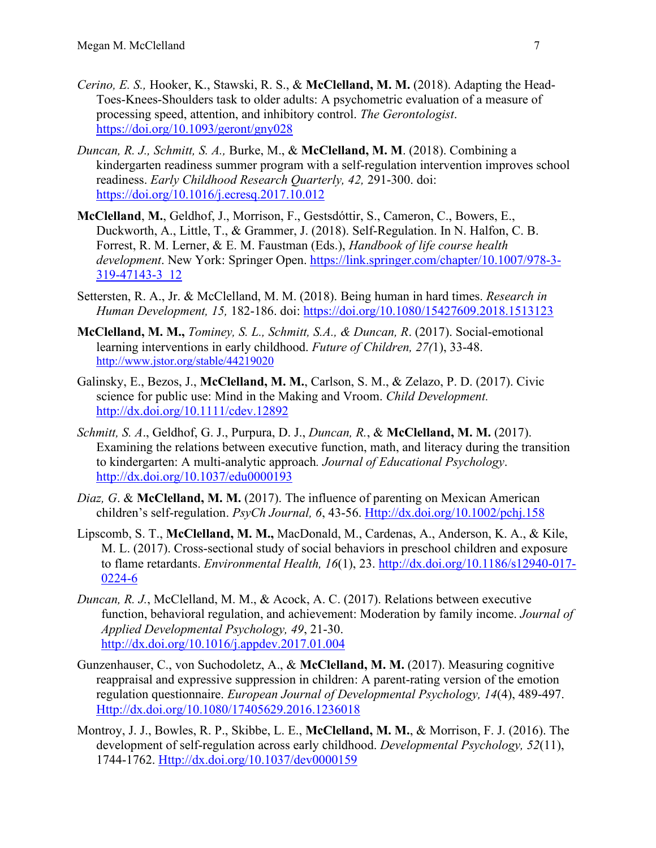- *Cerino, E. S.,* Hooker, K., Stawski, R. S., & **McClelland, M. M.** (2018). Adapting the Head-Toes-Knees-Shoulders task to older adults: A psychometric evaluation of a measure of processing speed, attention, and inhibitory control. *The Gerontologist*. <https://doi.org/10.1093/geront/gny028>
- *Duncan, R. J., Schmitt, S. A.,* Burke, M., & **McClelland, M. M**. (2018). Combining a kindergarten readiness summer program with a self-regulation intervention improves school readiness. *Early Childhood Research Quarterly, 42,* 291-300. doi: <https://doi.org/10.1016/j.ecresq.2017.10.012>
- **McClelland**, **M.**, Geldhof, J., Morrison, F., Gestsdóttir, S., Cameron, C., Bowers, E., Duckworth, A., Little, T., & Grammer, J. (2018). Self-Regulation. In N. Halfon, C. B. Forrest, R. M. Lerner, & E. M. Faustman (Eds.), *Handbook of life course health development*. New York: Springer Open. [https://link.springer.com/chapter/10.1007/978-3-](https://link.springer.com/chapter/10.1007/978-3-319-47143-3_12) [319-47143-3\\_12](https://link.springer.com/chapter/10.1007/978-3-319-47143-3_12)
- Settersten, R. A., Jr. & McClelland, M. M. (2018). Being human in hard times. *Research in Human Development, 15,* 182-186. doi:<https://doi.org/10.1080/15427609.2018.1513123>
- **McClelland, M. M.,** *Tominey, S. L., Schmitt, S.A., & Duncan, R*. (2017). Social-emotional learning interventions in early childhood. *Future of Children, 27(*1), 33-48. <http://www.jstor.org/stable/44219020>
- Galinsky, E., Bezos, J., **McClelland, M. M.**, Carlson, S. M., & Zelazo, P. D. (2017). Civic science for public use: Mind in the Making and Vroom. *Child Development.* <http://dx.doi.org/10.1111/cdev.12892>
- *Schmitt, S. A*., Geldhof, G. J., Purpura, D. J., *Duncan, R.*, & **McClelland, M. M.** (2017). Examining the relations between executive function, math, and literacy during the transition to kindergarten: A multi-analytic approach*. Journal of Educational Psychology*. [http://dx.doi.org/10.1037/edu0000193](http://psycnet.apa.org/doi/10.1037/edu0000193)
- *Diaz, G*. & **McClelland, M. M.** (2017). The influence of parenting on Mexican American children's self-regulation. *PsyCh Journal, 6*, 43-56. [Http://dx.doi.org/10.1002/pchj.158](http://dx.doi.org/10.1002/pchj.158)
- Lipscomb, S. T., **McClelland, M. M.,** MacDonald, M., Cardenas, A., Anderson, K. A., & Kile, M. L. (2017). Cross-sectional study of social behaviors in preschool children and exposure to flame retardants. *Environmental Health, 16*(1), 23. [http://dx.doi.org/10.1186/s12940-017-](http://dx.doi.org/10.1186/s12940-017-0224-6) [0224-6](http://dx.doi.org/10.1186/s12940-017-0224-6)
- *Duncan, R. J.*, McClelland, M. M., & Acock, A. C. (2017). Relations between executive function, behavioral regulation, and achievement: Moderation by family income. *Journal of Applied Developmental Psychology, 49*, 21-30. <http://dx.doi.org/10.1016/j.appdev.2017.01.004>
- Gunzenhauser, C., von Suchodoletz, A., & **McClelland, M. M.** (2017). Measuring cognitive reappraisal and expressive suppression in children: A parent-rating version of the emotion regulation questionnaire. *European Journal of Developmental Psychology, 14*(4), 489-497. [Http://dx.doi.org/10.1080/17405629.2016.1236018](http://dx.doi.org/10.1080/17405629.2016.1236018)
- Montroy, J. J., Bowles, R. P., Skibbe, L. E., **McClelland, M. M.**, & Morrison, F. J. (2016). The development of self-regulation across early childhood. *Developmental Psychology, 52*(11), 1744-1762. [Http://dx.doi.org/10.1037/dev0000159](http://dx.doi.org/10.1037/dev0000159)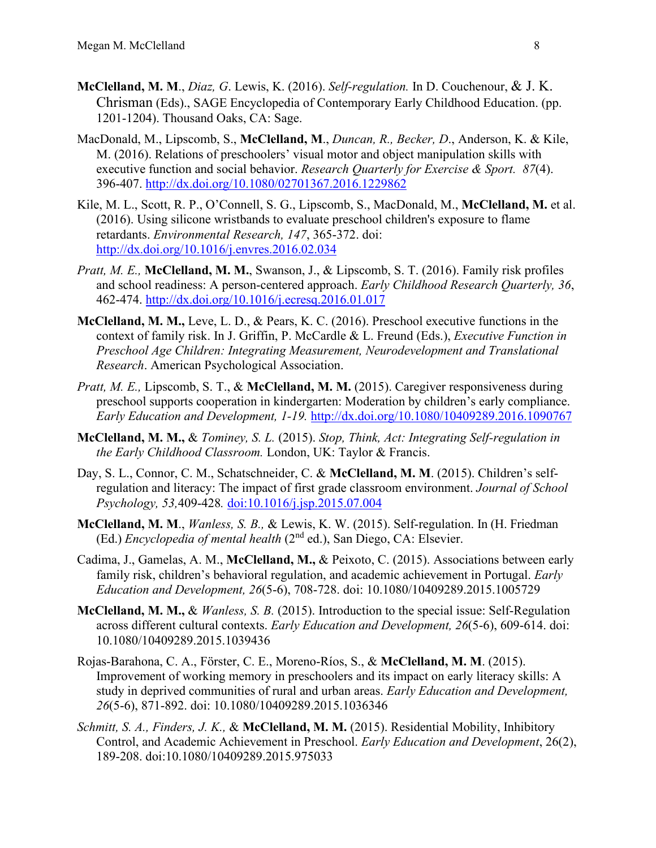- **McClelland, M. M**., *Diaz, G*. Lewis, K. (2016). *Self-regulation.* In D. Couchenour, & J. K. Chrisman (Eds)., SAGE Encyclopedia of Contemporary Early Childhood Education. (pp. 1201-1204). Thousand Oaks, CA: Sage.
- MacDonald, M., Lipscomb, S., **McClelland, M**., *Duncan, R., Becker, D*., Anderson, K. & Kile, M. (2016). Relations of preschoolers' visual motor and object manipulation skills with executive function and social behavior. *Research Quarterly for Exercise & Sport. 87*(4). 396-407.<http://dx.doi.org/10.1080/02701367.2016.1229862>
- Kile, M. L., Scott, R. P., O'Connell, S. G., Lipscomb, S., MacDonald, M., **McClelland, M.** et al. (2016). Using silicone wristbands to evaluate preschool children's exposure to flame retardants. *Environmental Research, 147*, 365-372. doi: <http://dx.doi.org/10.1016/j.envres.2016.02.034>
- *Pratt, M. E.,* **McClelland, M. M.**, Swanson, J., & Lipscomb, S. T. (2016). Family risk profiles and school readiness: A person-centered approach. *Early Childhood Research Quarterly, 36*, 462-474.<http://dx.doi.org/10.1016/j.ecresq.2016.01.017>
- **McClelland, M. M.,** Leve, L. D., & Pears, K. C. (2016). Preschool executive functions in the context of family risk. In J. Griffin, P. McCardle & L. Freund (Eds.), *Executive Function in Preschool Age Children: Integrating Measurement, Neurodevelopment and Translational Research*. American Psychological Association.
- *Pratt, M. E., Lipscomb, S. T., & McClelland, M. M. (2015). Caregiver responsiveness during* preschool supports cooperation in kindergarten: Moderation by children's early compliance. *Early Education and Development, 1-19.* <http://dx.doi.org/10.1080/10409289.2016.1090767>
- **McClelland, M. M.,** & *Tominey, S. L.* (2015). *Stop, Think, Act: Integrating Self-regulation in the Early Childhood Classroom.* London, UK: Taylor & Francis.
- Day, S. L., Connor, C. M., Schatschneider, C. & **McClelland, M. M**. (2015). Children's selfregulation and literacy: The impact of first grade classroom environment. *Journal of School Psychology, 53,*409-428*.* [doi:10.1016/j.jsp.2015.07.004](http://dx.doi.org/10.1016/j.jsp.2015.07.004)
- **McClelland, M. M**., *Wanless, S. B.,* & Lewis, K. W. (2015). Self-regulation. In (H. Friedman (Ed.) *Encyclopedia of mental health* (2nd ed.), San Diego, CA: Elsevier.
- Cadima, J., Gamelas, A. M., **McClelland, M.,** & Peixoto, C. (2015). Associations between early family risk, children's behavioral regulation, and academic achievement in Portugal. *Early Education and Development, 26*(5-6), 708-728. doi: 10.1080/10409289.2015.1005729
- **McClelland, M. M.,** & *Wanless, S. B.* (2015). Introduction to the special issue: Self-Regulation across different cultural contexts. *Early Education and Development, 26*(5-6), 609-614. doi: 10.1080/10409289.2015.1039436
- Rojas-Barahona, C. A., Förster, C. E., Moreno-Ríos, S., & **McClelland, M. M**. (2015). Improvement of working memory in preschoolers and its impact on early literacy skills: A study in deprived communities of rural and urban areas. *Early Education and Development, 26*(5-6), 871-892. doi: 10.1080/10409289.2015.1036346
- *Schmitt, S. A., Finders, J. K.,* & **McClelland, M. M.** (2015). Residential Mobility, Inhibitory Control, and Academic Achievement in Preschool. *Early Education and Development*, 26(2), 189-208. doi:10.1080/10409289.2015.975033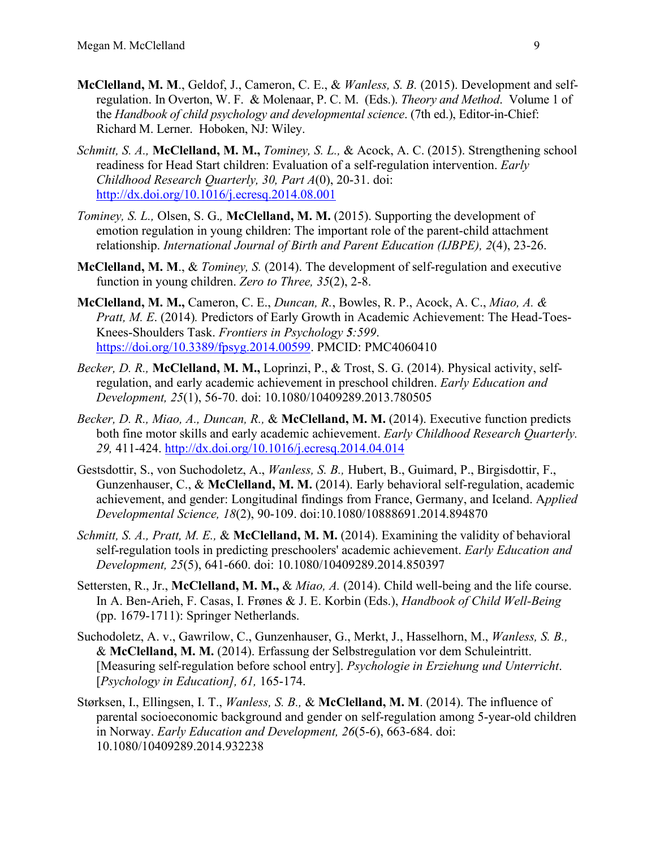- **McClelland, M. M**., Geldof, J., Cameron, C. E., & *Wanless, S. B.* (2015). Development and selfregulation. In Overton, W. F. & Molenaar, P. C. M. (Eds.). *Theory and Method*. Volume 1 of the *Handbook of child psychology and developmental science*. (7th ed.), Editor-in-Chief: Richard M. Lerner. Hoboken, NJ: Wiley.
- *Schmitt, S. A.,* **McClelland, M. M.,** *Tominey, S. L.,* & Acock, A. C. (2015). Strengthening school readiness for Head Start children: Evaluation of a self-regulation intervention. *Early Childhood Research Quarterly, 30, Part A*(0), 20-31. doi: <http://dx.doi.org/10.1016/j.ecresq.2014.08.001>
- *Tominey, S. L.,* Olsen, S. G.*,* **McClelland, M. M.** (2015). Supporting the development of emotion regulation in young children: The important role of the parent-child attachment relationship. *International Journal of Birth and Parent Education (IJBPE), 2*(4), 23-26.
- **McClelland, M. M**., & *Tominey, S.* (2014). The development of self-regulation and executive function in young children. *Zero to Three, 35*(2), 2-8.
- **McClelland, M. M.,** Cameron, C. E., *Duncan, R.*, Bowles, R. P., Acock, A. C., *Miao, A. & Pratt, M. E*. (2014)*.* Predictors of Early Growth in Academic Achievement: The Head-Toes-Knees-Shoulders Task. *Frontiers in Psychology 5:599*. [https://doi.org/10.3389/fpsyg.2014.00599.](https://doi.org/10.3389/fpsyg.2014.00599) PMCID: PMC4060410
- *Becker, D. R.,* **McClelland, M. M.,** Loprinzi, P., & Trost, S. G. (2014). Physical activity, selfregulation, and early academic achievement in preschool children. *Early Education and Development, 25*(1), 56-70. doi: 10.1080/10409289.2013.780505
- *Becker, D. R., Miao, A., Duncan, R.,* & **McClelland, M. M.** (2014). Executive function predicts both fine motor skills and early academic achievement. *Early Childhood Research Quarterly. 29,* 411-424.<http://dx.doi.org/10.1016/j.ecresq.2014.04.014>
- Gestsdottir, S., von Suchodoletz, A., *Wanless, S. B.,* Hubert, B., Guimard, P., Birgisdottir, F., Gunzenhauser, C., & **McClelland, M. M.** (2014). Early behavioral self-regulation, academic achievement, and gender: Longitudinal findings from France, Germany, and Iceland. A*pplied Developmental Science, 18*(2), 90-109. doi:10.1080/10888691.2014.894870
- *Schmitt, S. A., Pratt, M. E., & McClelland, M. M. (2014). Examining the validity of behavioral* self-regulation tools in predicting preschoolers' academic achievement. *Early Education and Development, 25*(5), 641-660. doi: 10.1080/10409289.2014.850397
- Settersten, R., Jr., **McClelland, M. M.,** & *Miao, A.* (2014). Child well-being and the life course. In A. Ben-Arieh, F. Casas, I. Frønes & J. E. Korbin (Eds.), *Handbook of Child Well-Being* (pp. 1679-1711): Springer Netherlands.
- Suchodoletz, A. v., Gawrilow, C., Gunzenhauser, G., Merkt, J., Hasselhorn, M., *Wanless, S. B.,* & **McClelland, M. M.** (2014). Erfassung der Selbstregulation vor dem Schuleintritt. [Measuring self-regulation before school entry]. *Psychologie in Erziehung und Unterricht*. [*Psychology in Education], 61,* 165-174.
- Størksen, I., Ellingsen, I. T., *Wanless, S. B.,* & **McClelland, M. M**. (2014). The influence of parental socioeconomic background and gender on self-regulation among 5-year-old children in Norway. *Early Education and Development, 26*(5-6), 663-684. doi: 10.1080/10409289.2014.932238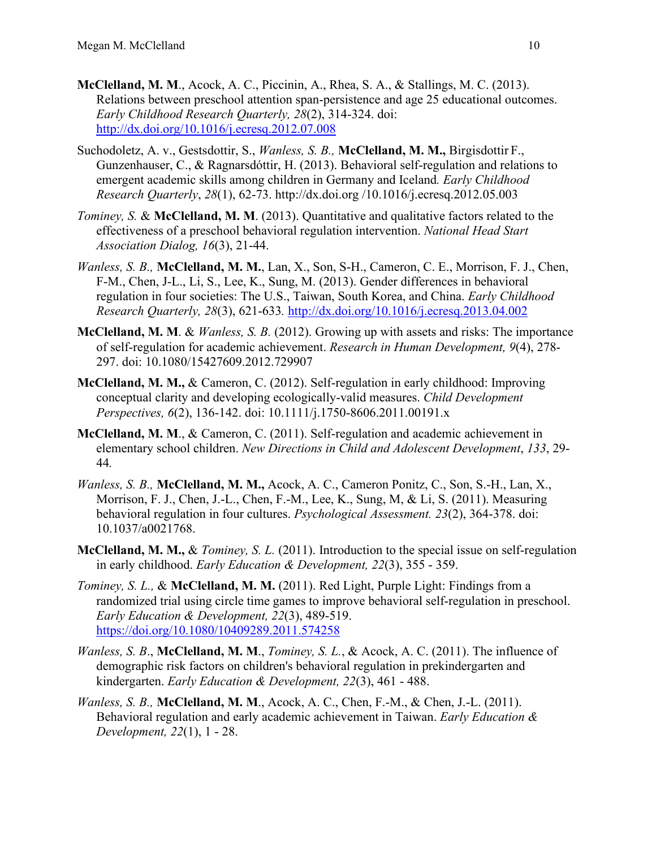- **McClelland, M. M**., Acock, A. C., Piccinin, A., Rhea, S. A., & Stallings, M. C. (2013). Relations between preschool attention span-persistence and age 25 educational outcomes. *Early Childhood Research Quarterly, 28*(2), 314-324. doi: <http://dx.doi.org/10.1016/j.ecresq.2012.07.008>
- Suchodoletz, A. v., Gestsdottir, S., *Wanless, S. B.,* **McClelland, M. M.,** Birgisdottir F., Gunzenhauser, C., & Ragnarsdóttir, H. (2013). Behavioral self-regulation and relations to emergent academic skills among children in Germany and Iceland*. Early Childhood Research Quarterly*, *28*(1), 62-73. http://dx.doi.org /10.1016/j.ecresq.2012.05.003
- *Tominey, S.* & **McClelland, M. M**. (2013). Quantitative and qualitative factors related to the effectiveness of a preschool behavioral regulation intervention. *National Head Start Association Dialog, 16*(3), 21-44.
- *Wanless, S. B.,* **McClelland, M. M.**, Lan, X., Son, S-H., Cameron, C. E., Morrison, F. J., Chen, F-M., Chen, J-L., Li, S., Lee, K., Sung, M. (2013). Gender differences in behavioral regulation in four societies: The U.S., Taiwan, South Korea, and China. *Early Childhood Research Quarterly, 28*(3), 621-633*.* <http://dx.doi.org/10.1016/j.ecresq.2013.04.002>
- **McClelland, M. M**. & *Wanless, S. B.* (2012). Growing up with assets and risks: The importance of self-regulation for academic achievement. *Research in Human Development, 9*(4), 278- 297. doi: 10.1080/15427609.2012.729907
- **McClelland, M. M.,** & Cameron, C. (2012). Self-regulation in early childhood: Improving conceptual clarity and developing ecologically-valid measures. *Child Development Perspectives, 6*(2), 136-142. doi: 10.1111/j.1750-8606.2011.00191.x
- **McClelland, M. M**., & Cameron, C. (2011). Self-regulation and academic achievement in elementary school children. *New Directions in Child and Adolescent Development*, *133*, 29- 44*.*
- *Wanless, S. B.,* **McClelland, M. M.,** Acock, A. C., Cameron Ponitz, C., Son, S.-H., Lan, X., Morrison, F. J., Chen, J.-L., Chen, F.-M., Lee, K., Sung, M, & Li, S. (2011). Measuring behavioral regulation in four cultures. *Psychological Assessment. 23*(2), 364-378. doi: 10.1037/a0021768.
- **McClelland, M. M.,** & *Tominey, S. L.* (2011). Introduction to the special issue on self-regulation in early childhood. *Early Education & Development, 22*(3), 355 - 359.
- *Tominey, S. L.,* & **McClelland, M. M.** (2011). Red Light, Purple Light: Findings from a randomized trial using circle time games to improve behavioral self-regulation in preschool. *Early Education & Development, 22*(3), 489-519. <https://doi.org/10.1080/10409289.2011.574258>
- *Wanless, S. B*., **McClelland, M. M**., *Tominey, S. L.*, & Acock, A. C. (2011). The influence of demographic risk factors on children's behavioral regulation in prekindergarten and kindergarten. *Early Education & Development, 22*(3), 461 - 488.
- *Wanless, S. B.,* **McClelland, M. M**., Acock, A. C., Chen, F.-M., & Chen, J.-L. (2011). Behavioral regulation and early academic achievement in Taiwan. *Early Education & Development, 22*(1), 1 - 28.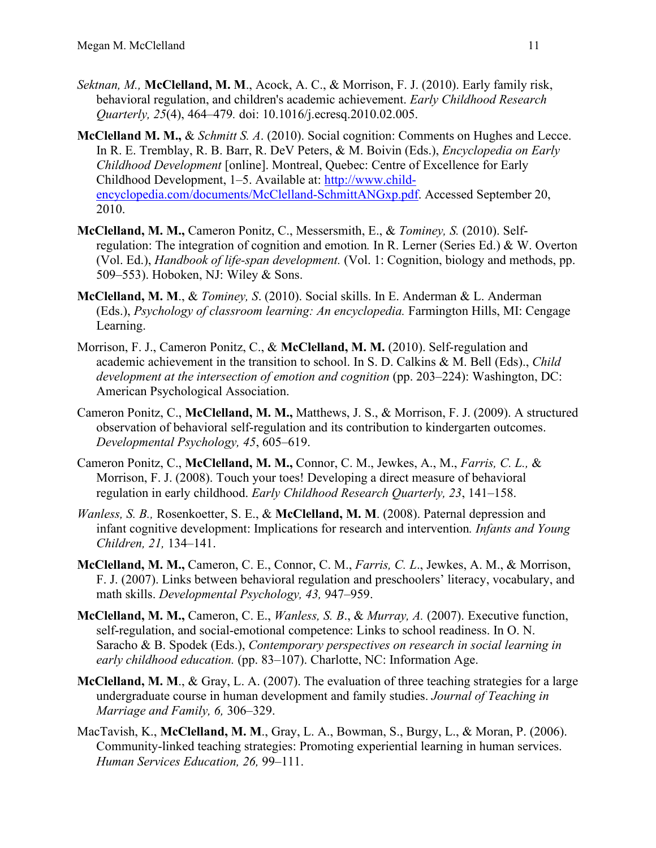- *Sektnan, M.,* **McClelland, M. M**., Acock, A. C., & Morrison, F. J. (2010). Early family risk, behavioral regulation, and children's academic achievement. *Early Childhood Research Quarterly, 25*(4), 464–479*.* doi: 10.1016/j.ecresq.2010.02.005.
- **McClelland M. M.,** & *Schmitt S. A*. (2010). Social cognition: Comments on Hughes and Lecce. In R. E. Tremblay, R. B. Barr, R. DeV Peters, & M. Boivin (Eds.), *Encyclopedia on Early Childhood Development* [online]. Montreal, Quebec: Centre of Excellence for Early Childhood Development, 1–5. Available at: [http://www.child](http://www.child-encyclopedia.com/documents/McClelland-SchmittANGxp.pdf)[encyclopedia.com/documents/McClelland-SchmittANGxp.pdf.](http://www.child-encyclopedia.com/documents/McClelland-SchmittANGxp.pdf) Accessed September 20, 2010.
- **McClelland, M. M.,** Cameron Ponitz, C., Messersmith, E., & *Tominey, S.* (2010). Selfregulation: The integration of cognition and emotion*.* In R. Lerner (Series Ed.) & W. Overton (Vol. Ed.), *Handbook of life-span development.* (Vol. 1: Cognition, biology and methods, pp. 509–553). Hoboken, NJ: Wiley & Sons.
- **McClelland, M. M**., & *Tominey, S*. (2010). Social skills. In E. Anderman & L. Anderman (Eds.), *Psychology of classroom learning: An encyclopedia.* Farmington Hills, MI: Cengage Learning.
- Morrison, F. J., Cameron Ponitz, C., & **McClelland, M. M.** (2010). Self-regulation and academic achievement in the transition to school. In S. D. Calkins & M. Bell (Eds)., *Child development at the intersection of emotion and cognition* (pp. 203–224): Washington, DC: American Psychological Association.
- Cameron Ponitz, C., **McClelland, M. M.,** Matthews, J. S., & Morrison, F. J. (2009). A structured observation of behavioral self-regulation and its contribution to kindergarten outcomes. *Developmental Psychology, 45*, 605–619.
- Cameron Ponitz, C., **McClelland, M. M.,** Connor, C. M., Jewkes, A., M., *Farris, C. L.,* & Morrison, F. J. (2008). Touch your toes! Developing a direct measure of behavioral regulation in early childhood. *Early Childhood Research Quarterly, 23*, 141–158.
- *Wanless, S. B.,* Rosenkoetter, S. E., & **McClelland, M. M**. (2008). Paternal depression and infant cognitive development: Implications for research and intervention*. Infants and Young Children, 21,* 134–141.
- **McClelland, M. M.,** Cameron, C. E., Connor, C. M., *Farris, C. L*., Jewkes, A. M., & Morrison, F. J. (2007). Links between behavioral regulation and preschoolers' literacy, vocabulary, and math skills. *Developmental Psychology, 43,* 947–959.
- **McClelland, M. M.,** Cameron, C. E., *Wanless, S. B*., & *Murray, A.* (2007). Executive function, self-regulation, and social-emotional competence: Links to school readiness. In O. N. Saracho & B. Spodek (Eds.), *Contemporary perspectives on research in social learning in early childhood education.* (pp. 83–107). Charlotte, NC: Information Age.
- **McClelland, M. M**., & Gray, L. A. (2007). The evaluation of three teaching strategies for a large undergraduate course in human development and family studies. *Journal of Teaching in Marriage and Family, 6,* 306–329.
- MacTavish, K., **McClelland, M. M**., Gray, L. A., Bowman, S., Burgy, L., & Moran, P. (2006). Community-linked teaching strategies: Promoting experiential learning in human services. *Human Services Education, 26,* 99–111.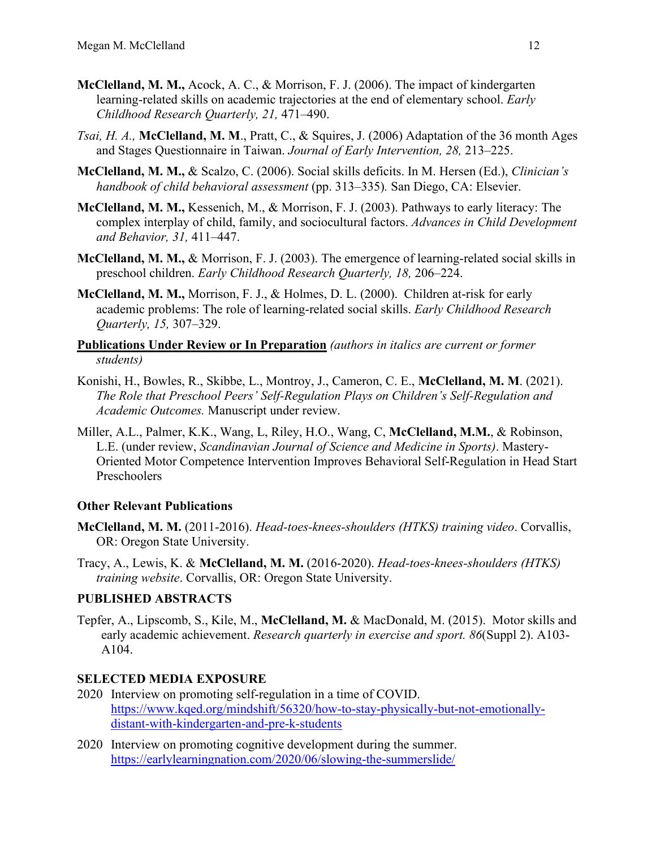- **McClelland, M. M.,** Acock, A. C., & Morrison, F. J. (2006). The impact of kindergarten learning-related skills on academic trajectories at the end of elementary school. *Early Childhood Research Quarterly, 21,* 471–490.
- *Tsai, H. A.,* **McClelland, M. M**., Pratt, C., & Squires, J. (2006) Adaptation of the 36 month Ages and Stages Questionnaire in Taiwan. *Journal of Early Intervention, 28,* 213–225.
- **McClelland, M. M.,** & Scalzo, C. (2006). Social skills deficits. In M. Hersen (Ed.), *Clinician's handbook of child behavioral assessment* (pp. 313–335)*.* San Diego, CA: Elsevier.
- **McClelland, M. M.,** Kessenich, M., & Morrison, F. J. (2003). Pathways to early literacy: The complex interplay of child, family, and sociocultural factors. *Advances in Child Development and Behavior, 31,* 411–447.
- **McClelland, M. M.,** & Morrison, F. J. (2003). The emergence of learning-related social skills in preschool children. *Early Childhood Research Quarterly, 18,* 206–224.
- **McClelland, M. M.,** Morrison, F. J., & Holmes, D. L. (2000). Children at-risk for early academic problems: The role of learning-related social skills. *Early Childhood Research Quarterly, 15,* 307–329.

**Publications Under Review or In Preparation** *(authors in italics are current or former students)* 

- Konishi, H., Bowles, R., Skibbe, L., Montroy, J., Cameron, C. E., **McClelland, M. M**. (2021). *The Role that Preschool Peers' Self-Regulation Plays on Children's Self-Regulation and Academic Outcomes.* Manuscript under review.
- Miller, A.L., Palmer, K.K., Wang, L, Riley, H.O., Wang, C, **McClelland, M.M.**, & Robinson, L.E. (under review, *Scandinavian Journal of Science and Medicine in Sports)*. Mastery-Oriented Motor Competence Intervention Improves Behavioral Self-Regulation in Head Start Preschoolers

#### **Other Relevant Publications**

- **McClelland, M. M.** (2011-2016). *Head-toes-knees-shoulders (HTKS) training video*. Corvallis, OR: Oregon State University.
- Tracy, A., Lewis, K. & **McClelland, M. M.** (2016-2020). *Head-toes-knees-shoulders (HTKS) training website*. Corvallis, OR: Oregon State University.

#### **PUBLISHED ABSTRACTS**

Tepfer, A., Lipscomb, S., Kile, M., **McClelland, M.** & MacDonald, M. (2015). Motor skills and early academic achievement. *Research quarterly in exercise and sport. 86*(Suppl 2). A103- A104.

#### **SELECTED MEDIA EXPOSURE**

- 2020 Interview on promoting self-regulation in a time of COVID. [https://www.kqed.org/mindshift/56320/how-to-stay-physically-but-not-emotionally](https://www.kqed.org/mindshift/56320/how-to-stay-physically-but-not-emotionally-distant-with-kindergarten-and-pre-k-students)[distant-with-kindergarten-and-pre-k-students](https://www.kqed.org/mindshift/56320/how-to-stay-physically-but-not-emotionally-distant-with-kindergarten-and-pre-k-students)
- 2020 Interview on promoting cognitive development during the summer. <https://earlylearningnation.com/2020/06/slowing-the-summerslide/>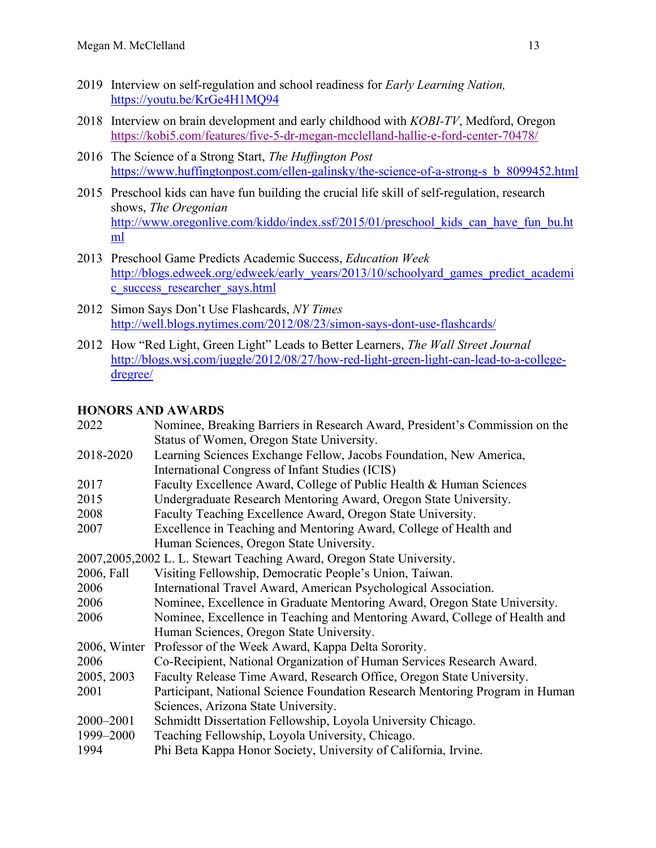- 2019 Interview on self-regulation and school readiness for *Early Learning Nation,*  <https://youtu.be/KrGe4H1MQ94>
- 2018 Interview on brain development and early childhood with *KOBI-TV*, Medford, Oregon <https://kobi5.com/features/five-5-dr-megan-mcclelland-hallie-e-ford-center-70478/>
- 2016 The Science of a Strong Start, *The Huffington Post*  [https://www.huffingtonpost.com/ellen-galinsky/the-science-of-a-strong-s\\_b\\_8099452.html](https://www.huffingtonpost.com/ellen-galinsky/the-science-of-a-strong-s_b_8099452.html)
- 2015 Preschool kids can have fun building the crucial life skill of self-regulation, research shows, *The Oregonian*  [http://www.oregonlive.com/kiddo/index.ssf/2015/01/preschool\\_kids\\_can\\_have\\_fun\\_bu.ht](http://www.oregonlive.com/kiddo/index.ssf/2015/01/preschool_kids_can_have_fun_bu.html) [ml](http://www.oregonlive.com/kiddo/index.ssf/2015/01/preschool_kids_can_have_fun_bu.html)
- 2013 Preschool Game Predicts Academic Success, *Education Week*  [http://blogs.edweek.org/edweek/early\\_years/2013/10/schoolyard\\_games\\_predict\\_academi](http://blogs.edweek.org/edweek/early_years/2013/10/schoolyard_games_predict_academic_success_researcher_says.html) [c\\_success\\_researcher\\_says.html](http://blogs.edweek.org/edweek/early_years/2013/10/schoolyard_games_predict_academic_success_researcher_says.html)
- 2012 Simon Says Don't Use Flashcards, *NY Times*  <http://well.blogs.nytimes.com/2012/08/23/simon-says-dont-use-flashcards/>
- 2012 How "Red Light, Green Light" Leads to Better Learners, *The Wall Street Journal* [http://blogs.wsj.com/juggle/2012/08/27/how-red-light-green-light-can-lead-to-a-college](http://blogs.wsj.com/juggle/2012/08/27/how-red-light-green-light-can-lead-to-a-college-dregree/)[dregree/](http://blogs.wsj.com/juggle/2012/08/27/how-red-light-green-light-can-lead-to-a-college-dregree/)

# **HONORS AND AWARDS**

| 2022                                                                    | Nominee, Breaking Barriers in Research Award, President's Commission on the  |  |  |
|-------------------------------------------------------------------------|------------------------------------------------------------------------------|--|--|
|                                                                         | Status of Women, Oregon State University.                                    |  |  |
| 2018-2020                                                               | Learning Sciences Exchange Fellow, Jacobs Foundation, New America,           |  |  |
|                                                                         | International Congress of Infant Studies (ICIS)                              |  |  |
| 2017                                                                    | Faculty Excellence Award, College of Public Health & Human Sciences          |  |  |
| 2015                                                                    | Undergraduate Research Mentoring Award, Oregon State University.             |  |  |
| 2008                                                                    | Faculty Teaching Excellence Award, Oregon State University.                  |  |  |
| 2007                                                                    | Excellence in Teaching and Mentoring Award, College of Health and            |  |  |
|                                                                         | Human Sciences, Oregon State University.                                     |  |  |
| 2007, 2005, 2002 L. L. Stewart Teaching Award, Oregon State University. |                                                                              |  |  |
| 2006, Fall                                                              | Visiting Fellowship, Democratic People's Union, Taiwan.                      |  |  |
| 2006                                                                    | International Travel Award, American Psychological Association.              |  |  |
| 2006                                                                    | Nominee, Excellence in Graduate Mentoring Award, Oregon State University.    |  |  |
| 2006                                                                    | Nominee, Excellence in Teaching and Mentoring Award, College of Health and   |  |  |
|                                                                         | Human Sciences, Oregon State University.                                     |  |  |
|                                                                         | 2006, Winter Professor of the Week Award, Kappa Delta Sorority.              |  |  |
| 2006                                                                    | Co-Recipient, National Organization of Human Services Research Award.        |  |  |
| 2005, 2003                                                              | Faculty Release Time Award, Research Office, Oregon State University.        |  |  |
| 2001                                                                    | Participant, National Science Foundation Research Mentoring Program in Human |  |  |
|                                                                         | Sciences, Arizona State University.                                          |  |  |
| 2000-2001                                                               | Schmidtt Dissertation Fellowship, Loyola University Chicago.                 |  |  |
| 1999-2000                                                               | Teaching Fellowship, Loyola University, Chicago.                             |  |  |
| 1994                                                                    | Phi Beta Kappa Honor Society, University of California, Irvine.              |  |  |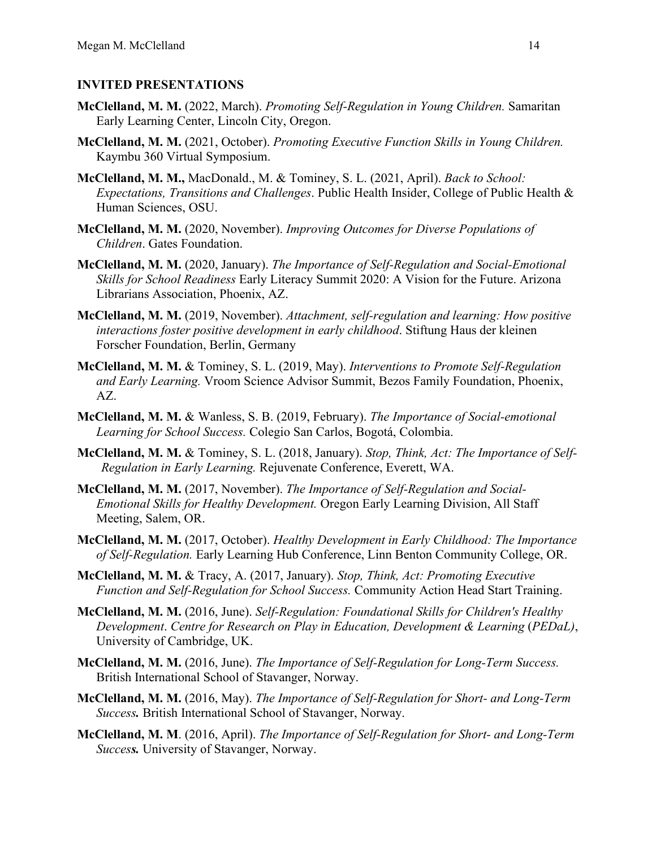# **INVITED PRESENTATIONS**

- **McClelland, M. M.** (2022, March). *Promoting Self-Regulation in Young Children.* Samaritan Early Learning Center, Lincoln City, Oregon.
- **McClelland, M. M.** (2021, October). *Promoting Executive Function Skills in Young Children.* Kaymbu 360 Virtual Symposium.
- **McClelland, M. M.,** MacDonald., M. & Tominey, S. L. (2021, April). *Back to School: Expectations, Transitions and Challenges*. Public Health Insider, College of Public Health & Human Sciences, OSU.
- **McClelland, M. M.** (2020, November). *Improving Outcomes for Diverse Populations of Children*. Gates Foundation.
- **McClelland, M. M.** (2020, January). *The Importance of Self-Regulation and Social-Emotional Skills for School Readiness* Early Literacy Summit 2020: A Vision for the Future. Arizona Librarians Association, Phoenix, AZ.
- **McClelland, M. M.** (2019, November). *Attachment, self-regulation and learning: How positive interactions foster positive development in early childhood*. Stiftung Haus der kleinen Forscher Foundation, Berlin, Germany
- **McClelland, M. M.** & Tominey, S. L. (2019, May). *Interventions to Promote Self-Regulation and Early Learning.* Vroom Science Advisor Summit, Bezos Family Foundation, Phoenix, AZ.
- **McClelland, M. M.** & Wanless, S. B. (2019, February). *The Importance of Social-emotional Learning for School Success.* Colegio San Carlos, Bogotá, Colombia.
- **McClelland, M. M.** & Tominey, S. L. (2018, January). *Stop, Think, Act: The Importance of Self-Regulation in Early Learning.* Rejuvenate Conference, Everett, WA.
- **McClelland, M. M.** (2017, November). *The Importance of Self-Regulation and Social-Emotional Skills for Healthy Development.* Oregon Early Learning Division, All Staff Meeting, Salem, OR.
- **McClelland, M. M.** (2017, October). *Healthy Development in Early Childhood: The Importance of Self-Regulation.* Early Learning Hub Conference, Linn Benton Community College, OR.
- **McClelland, M. M.** & Tracy, A. (2017, January). *Stop, Think, Act: Promoting Executive Function and Self-Regulation for School Success.* Community Action Head Start Training.
- **McClelland, M. M.** (2016, June). *Self-Regulation: Foundational Skills for Children's Healthy Development*. *Centre for Research on Play in Education, Development & Learning* (*PEDaL)*, University of Cambridge, UK.
- **McClelland, M. M.** (2016, June). *The Importance of Self-Regulation for Long-Term Success.*  British International School of Stavanger, Norway.
- **McClelland, M. M.** (2016, May). *The Importance of Self-Regulation for Short- and Long-Term Success.* British International School of Stavanger, Norway.
- **McClelland, M. M**. (2016, April). *The Importance of Self-Regulation for Short- and Long-Term Success.* University of Stavanger, Norway.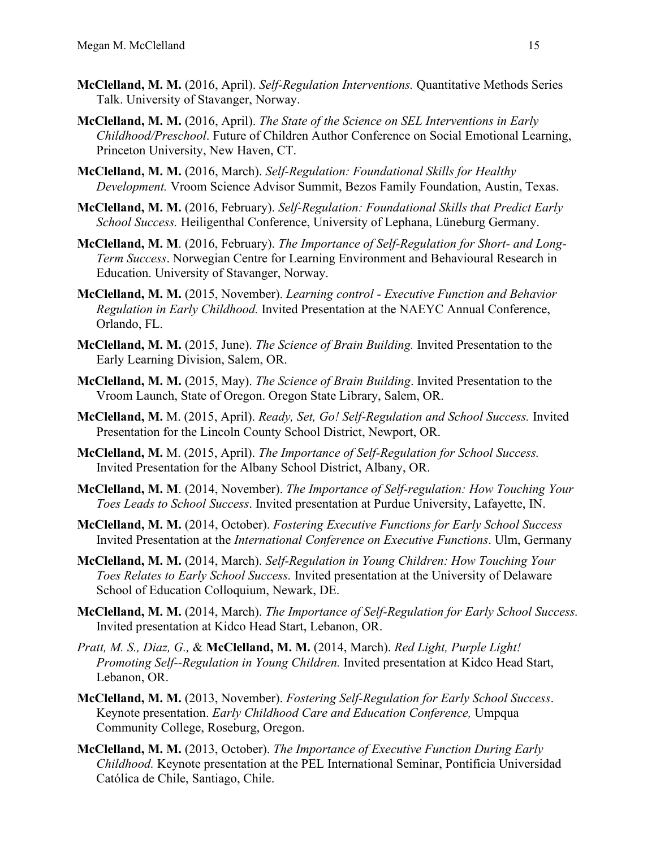- **McClelland, M. M.** (2016, April). *Self-Regulation Interventions.* Quantitative Methods Series Talk. University of Stavanger, Norway.
- **McClelland, M. M.** (2016, April). *The State of the Science on SEL Interventions in Early Childhood/Preschool*. Future of Children Author Conference on Social Emotional Learning, Princeton University, New Haven, CT.
- **McClelland, M. M.** (2016, March). *Self-Regulation: Foundational Skills for Healthy Development.* Vroom Science Advisor Summit, Bezos Family Foundation, Austin, Texas.
- **McClelland, M. M.** (2016, February). *Self-Regulation: Foundational Skills that Predict Early School Success.* Heiligenthal Conference, University of Lephana, Lüneburg Germany.
- **McClelland, M. M**. (2016, February). *The Importance of Self-Regulation for Short- and Long-Term Success*. Norwegian Centre for Learning Environment and Behavioural Research in Education. University of Stavanger, Norway.
- **McClelland, M. M.** (2015, November). *Learning control - Executive Function and Behavior Regulation in Early Childhood.* Invited Presentation at the NAEYC Annual Conference, Orlando, FL.
- **McClelland, M. M.** (2015, June). *The Science of Brain Building.* Invited Presentation to the Early Learning Division, Salem, OR.
- **McClelland, M. M.** (2015, May). *The Science of Brain Building*. Invited Presentation to the Vroom Launch, State of Oregon. Oregon State Library, Salem, OR.
- **McClelland, M.** M. (2015, April). *Ready, Set, Go! Self-Regulation and School Success.* Invited Presentation for the Lincoln County School District, Newport, OR.
- **McClelland, M.** M. (2015, April). *The Importance of Self-Regulation for School Success.*  Invited Presentation for the Albany School District, Albany, OR.
- **McClelland, M. M**. (2014, November). *The Importance of Self-regulation: How Touching Your Toes Leads to School Success*. Invited presentation at Purdue University, Lafayette, IN.
- **McClelland, M. M.** (2014, October). *Fostering Executive Functions for Early School Success* Invited Presentation at the *International Conference on Executive Functions*. Ulm, Germany
- **McClelland, M. M.** (2014, March). *Self-Regulation in Young Children: How Touching Your Toes Relates to Early School Success.* Invited presentation at the University of Delaware School of Education Colloquium, Newark, DE.
- **McClelland, M. M.** (2014, March). *The Importance of Self-Regulation for Early School Success.*  Invited presentation at Kidco Head Start, Lebanon, OR.
- *Pratt, M. S., Diaz, G.,* & **McClelland, M. M.** (2014, March). *Red Light, Purple Light! Promoting Self--Regulation in Young Children.* Invited presentation at Kidco Head Start, Lebanon, OR.
- **McClelland, M. M.** (2013, November). *Fostering Self-Regulation for Early School Success*. Keynote presentation. *Early Childhood Care and Education Conference,* Umpqua Community College, Roseburg, Oregon.
- **McClelland, M. M.** (2013, October). *The Importance of Executive Function During Early Childhood.* Keynote presentation at the PEL International Seminar, Pontificia Universidad Católica de Chile, Santiago, Chile.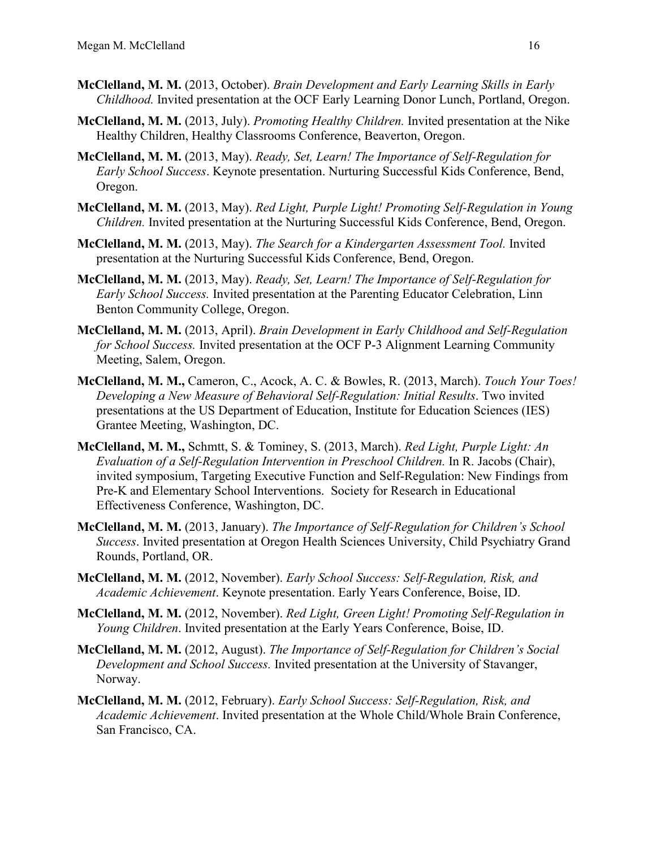- **McClelland, M. M.** (2013, October). *Brain Development and Early Learning Skills in Early Childhood.* Invited presentation at the OCF Early Learning Donor Lunch, Portland, Oregon.
- **McClelland, M. M.** (2013, July). *Promoting Healthy Children.* Invited presentation at the Nike Healthy Children, Healthy Classrooms Conference, Beaverton, Oregon.
- **McClelland, M. M.** (2013, May). *Ready, Set, Learn! The Importance of Self-Regulation for Early School Success*. Keynote presentation. Nurturing Successful Kids Conference, Bend, Oregon.
- **McClelland, M. M.** (2013, May). *Red Light, Purple Light! Promoting Self-Regulation in Young Children.* Invited presentation at the Nurturing Successful Kids Conference, Bend, Oregon.
- **McClelland, M. M.** (2013, May). *The Search for a Kindergarten Assessment Tool.* Invited presentation at the Nurturing Successful Kids Conference, Bend, Oregon.
- **McClelland, M. M.** (2013, May). *Ready, Set, Learn! The Importance of Self-Regulation for Early School Success.* Invited presentation at the Parenting Educator Celebration, Linn Benton Community College, Oregon.
- **McClelland, M. M.** (2013, April). *Brain Development in Early Childhood and Self-Regulation for School Success.* Invited presentation at the OCF P-3 Alignment Learning Community Meeting, Salem, Oregon.
- **McClelland, M. M.,** Cameron, C., Acock, A. C. & Bowles, R. (2013, March). *Touch Your Toes! Developing a New Measure of Behavioral Self-Regulation: Initial Results*. Two invited presentations at the US Department of Education, Institute for Education Sciences (IES) Grantee Meeting, Washington, DC.
- **McClelland, M. M.,** Schmtt, S. & Tominey, S. (2013, March). *Red Light, Purple Light: An Evaluation of a Self-Regulation Intervention in Preschool Children.* In R. Jacobs (Chair), invited symposium, Targeting Executive Function and Self-Regulation: New Findings from Pre-K and Elementary School Interventions. Society for Research in Educational Effectiveness Conference, Washington, DC.
- **McClelland, M. M.** (2013, January). *The Importance of Self-Regulation for Children's School Success*. Invited presentation at Oregon Health Sciences University, Child Psychiatry Grand Rounds, Portland, OR.
- **McClelland, M. M.** (2012, November). *Early School Success: Self-Regulation, Risk, and Academic Achievement*. Keynote presentation. Early Years Conference, Boise, ID.
- **McClelland, M. M.** (2012, November). *Red Light, Green Light! Promoting Self-Regulation in Young Children*. Invited presentation at the Early Years Conference, Boise, ID.
- **McClelland, M. M.** (2012, August). *The Importance of Self-Regulation for Children's Social Development and School Success.* Invited presentation at the University of Stavanger, Norway.
- **McClelland, M. M.** (2012, February). *Early School Success: Self-Regulation, Risk, and Academic Achievement*. Invited presentation at the Whole Child/Whole Brain Conference, San Francisco, CA.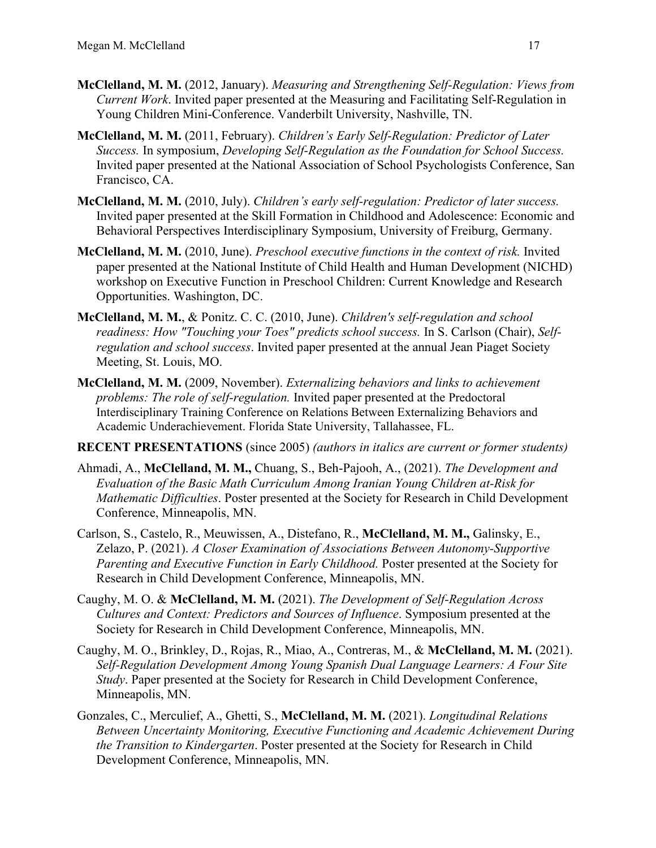- **McClelland, M. M.** (2012, January). *Measuring and Strengthening Self-Regulation: Views from Current Work*. Invited paper presented at the Measuring and Facilitating Self-Regulation in Young Children Mini-Conference. Vanderbilt University, Nashville, TN.
- **McClelland, M. M.** (2011, February). *Children's Early Self-Regulation: Predictor of Later Success.* In symposium, *Developing Self-Regulation as the Foundation for School Success.*  Invited paper presented at the National Association of School Psychologists Conference, San Francisco, CA.
- **McClelland, M. M.** (2010, July). *Children's early self-regulation: Predictor of later success.*  Invited paper presented at the Skill Formation in Childhood and Adolescence: Economic and Behavioral Perspectives Interdisciplinary Symposium, University of Freiburg, Germany.
- **McClelland, M. M.** (2010, June). *Preschool executive functions in the context of risk.* Invited paper presented at the National Institute of Child Health and Human Development (NICHD) workshop on Executive Function in Preschool Children: Current Knowledge and Research Opportunities. Washington, DC.
- **McClelland, M. M.**, & Ponitz. C. C. (2010, June). *Children's self-regulation and school readiness: How "Touching your Toes" predicts school success.* In S. Carlson (Chair), *Selfregulation and school success*. Invited paper presented at the annual Jean Piaget Society Meeting, St. Louis, MO.
- **McClelland, M. M.** (2009, November). *Externalizing behaviors and links to achievement problems: The role of self-regulation.* Invited paper presented at the Predoctoral Interdisciplinary Training Conference on Relations Between Externalizing Behaviors and Academic Underachievement. Florida State University, Tallahassee, FL.
- **RECENT PRESENTATIONS** (since 2005) *(authors in italics are current or former students)*
- Ahmadi, A., **McClelland, M. M.,** Chuang, S., Beh-Pajooh, A., (2021). *The Development and Evaluation of the Basic Math Curriculum Among Iranian Young Children at-Risk for Mathematic Difficulties*. Poster presented at the Society for Research in Child Development Conference, Minneapolis, MN.
- Carlson, S., Castelo, R., Meuwissen, A., Distefano, R., **McClelland, M. M.,** Galinsky, E., Zelazo, P. (2021). *A Closer Examination of Associations Between Autonomy-Supportive Parenting and Executive Function in Early Childhood.* Poster presented at the Society for Research in Child Development Conference, Minneapolis, MN.
- Caughy, M. O. & **McClelland, M. M.** (2021). *The Development of Self-Regulation Across Cultures and Context: Predictors and Sources of Influence*. Symposium presented at the Society for Research in Child Development Conference, Minneapolis, MN.
- Caughy, M. O., Brinkley, D., Rojas, R., Miao, A., Contreras, M., & **McClelland, M. M.** (2021). *Self-Regulation Development Among Young Spanish Dual Language Learners: A Four Site Study*. Paper presented at the Society for Research in Child Development Conference, Minneapolis, MN.
- Gonzales, C., Merculief, A., Ghetti, S., **McClelland, M. M.** (2021). *Longitudinal Relations Between Uncertainty Monitoring, Executive Functioning and Academic Achievement During the Transition to Kindergarten*. Poster presented at the Society for Research in Child Development Conference, Minneapolis, MN.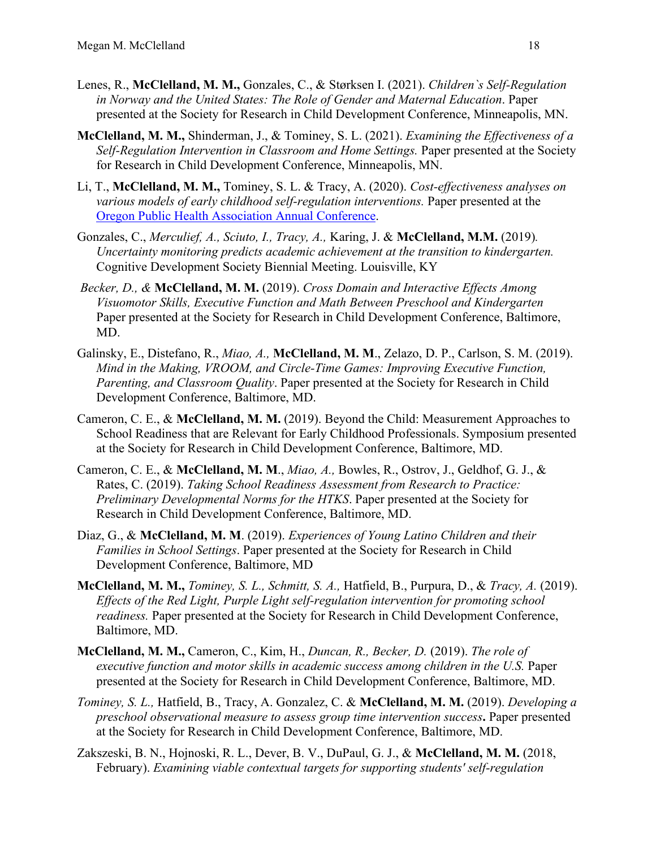- Lenes, R., **McClelland, M. M.,** Gonzales, C., & Størksen I. (2021). *Children`s Self-Regulation in Norway and the United States: The Role of Gender and Maternal Education*. Paper presented at the Society for Research in Child Development Conference, Minneapolis, MN.
- **McClelland, M. M.,** Shinderman, J., & Tominey, S. L. (2021). *Examining the Effectiveness of a Self-Regulation Intervention in Classroom and Home Settings.* Paper presented at the Society for Research in Child Development Conference, Minneapolis, MN.
- Li, T., **McClelland, M. M.,** Tominey, S. L. & Tracy, A. (2020). *Cost-effectiveness analyses on various models of early childhood self-regulation interventions.* Paper presented at the [Oregon Public Health Association Annual Conference.](https://www.oregonpublichealth.org/opha-conference)
- Gonzales, C., *Merculief, A., Sciuto, I., Tracy, A.,* Karing, J. & **McClelland, M.M.** (2019)*. Uncertainty monitoring predicts academic achievement at the transition to kindergarten.*  Cognitive Development Society Biennial Meeting. Louisville, KY
- *Becker, D., &* **McClelland, M. M.** (2019). *Cross Domain and Interactive Effects Among Visuomotor Skills, Executive Function and Math Between Preschool and Kindergarten*  Paper presented at the Society for Research in Child Development Conference, Baltimore, MD.
- Galinsky, E., Distefano, R., *Miao, A.,* **McClelland, M. M**., Zelazo, D. P., Carlson, S. M. (2019). *Mind in the Making, VROOM, and Circle-Time Games: Improving Executive Function, Parenting, and Classroom Quality*. Paper presented at the Society for Research in Child Development Conference, Baltimore, MD.
- Cameron, C. E., & **McClelland, M. M.** (2019). Beyond the Child: Measurement Approaches to School Readiness that are Relevant for Early Childhood Professionals. Symposium presented at the Society for Research in Child Development Conference, Baltimore, MD.
- Cameron, C. E., & **McClelland, M. M**., *Miao, A.,* Bowles, R., Ostrov, J., Geldhof, G. J., & Rates, C. (2019). *Taking School Readiness Assessment from Research to Practice: Preliminary Developmental Norms for the HTKS*. Paper presented at the Society for Research in Child Development Conference, Baltimore, MD.
- Diaz, G., & **McClelland, M. M**. (2019). *Experiences of Young Latino Children and their Families in School Settings*. Paper presented at the Society for Research in Child Development Conference, Baltimore, MD
- **McClelland, M. M.,** *Tominey, S. L., Schmitt, S. A.,* Hatfield, B., Purpura, D., & *Tracy, A.* (2019). *Effects of the Red Light, Purple Light self-regulation intervention for promoting school readiness.* Paper presented at the Society for Research in Child Development Conference, Baltimore, MD.
- **McClelland, M. M.,** Cameron, C., Kim, H., *Duncan, R., Becker, D.* (2019). *The role of executive function and motor skills in academic success among children in the U.S.* Paper presented at the Society for Research in Child Development Conference, Baltimore, MD.
- *Tominey, S. L.,* Hatfield, B., Tracy, A. Gonzalez, C. & **McClelland, M. M.** (2019). *Developing a preschool observational measure to assess group time intervention success***.** Paper presented at the Society for Research in Child Development Conference, Baltimore, MD.
- Zakszeski, B. N., Hojnoski, R. L., Dever, B. V., DuPaul, G. J., & **McClelland, M. M.** (2018, February). *Examining viable contextual targets for supporting students' self-regulation*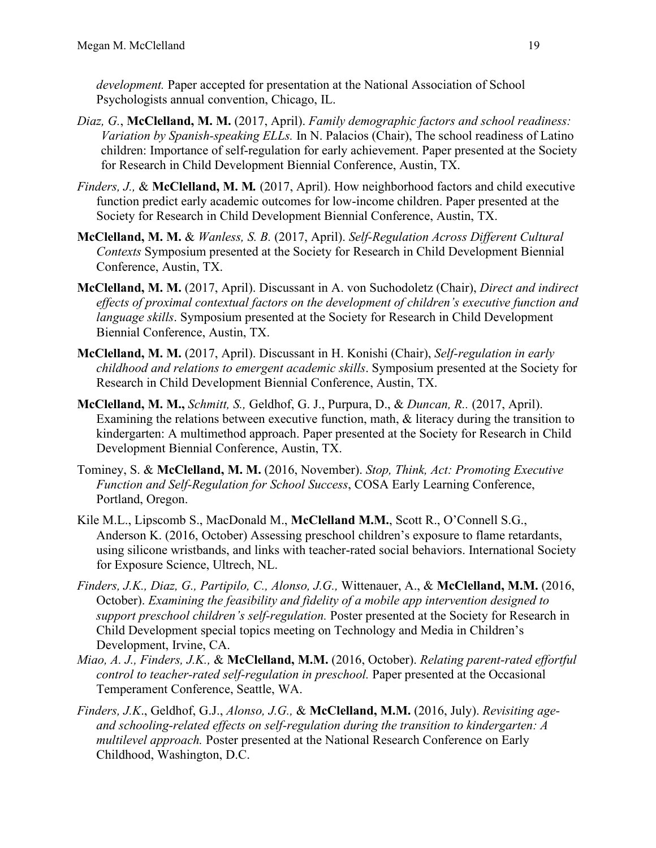*development.* Paper accepted for presentation at the National Association of School Psychologists annual convention, Chicago, IL.

- *Diaz, G.*, **McClelland, M. M.** (2017, April). *Family demographic factors and school readiness: Variation by Spanish-speaking ELLs.* In N. Palacios (Chair), The school readiness of Latino children: Importance of self-regulation for early achievement. Paper presented at the Society for Research in Child Development Biennial Conference, Austin, TX.
- *Finders, J.,* & **McClelland, M. M***.* (2017, April). How neighborhood factors and child executive function predict early academic outcomes for low-income children. Paper presented at the Society for Research in Child Development Biennial Conference, Austin, TX.
- **McClelland, M. M.** & *Wanless, S. B.* (2017, April). *Self-Regulation Across Different Cultural Contexts* Symposium presented at the Society for Research in Child Development Biennial Conference, Austin, TX.
- **McClelland, M. M.** (2017, April). Discussant in A. von Suchodoletz (Chair), *Direct and indirect effects of proximal contextual factors on the development of children's executive function and language skills*. Symposium presented at the Society for Research in Child Development Biennial Conference, Austin, TX.
- **McClelland, M. M.** (2017, April). Discussant in H. Konishi (Chair), *Self-regulation in early childhood and relations to emergent academic skills*. Symposium presented at the Society for Research in Child Development Biennial Conference, Austin, TX.
- **McClelland, M. M.,** *Schmitt, S.,* Geldhof, G. J., Purpura, D., & *Duncan, R..* (2017, April). Examining the relations between executive function, math, & literacy during the transition to kindergarten: A multimethod approach. Paper presented at the Society for Research in Child Development Biennial Conference, Austin, TX.
- Tominey, S. & **McClelland, M. M.** (2016, November). *Stop, Think, Act: Promoting Executive Function and Self-Regulation for School Success*, COSA Early Learning Conference, Portland, Oregon.
- Kile M.L., Lipscomb S., MacDonald M., **McClelland M.M.**, Scott R., O'Connell S.G., Anderson K. (2016, October) Assessing preschool children's exposure to flame retardants, using silicone wristbands, and links with teacher-rated social behaviors. International Society for Exposure Science, Ultrech, NL.
- *Finders, J.K., Diaz, G., Partipilo, C., Alonso, J.G.,* Wittenauer, A., & **McClelland, M.M.** (2016, October). *Examining the feasibility and fidelity of a mobile app intervention designed to support preschool children's self-regulation.* Poster presented at the Society for Research in Child Development special topics meeting on Technology and Media in Children's Development, Irvine, CA.
- *Miao, A. J., Finders, J.K.,* & **McClelland, M.M.** (2016, October). *Relating parent-rated effortful control to teacher-rated self-regulation in preschool.* Paper presented at the Occasional Temperament Conference, Seattle, WA.
- *Finders, J.K*., Geldhof, G.J., *Alonso, J.G.,* & **McClelland, M.M.** (2016, July). *Revisiting ageand schooling-related effects on self-regulation during the transition to kindergarten: A multilevel approach.* Poster presented at the National Research Conference on Early Childhood, Washington, D.C.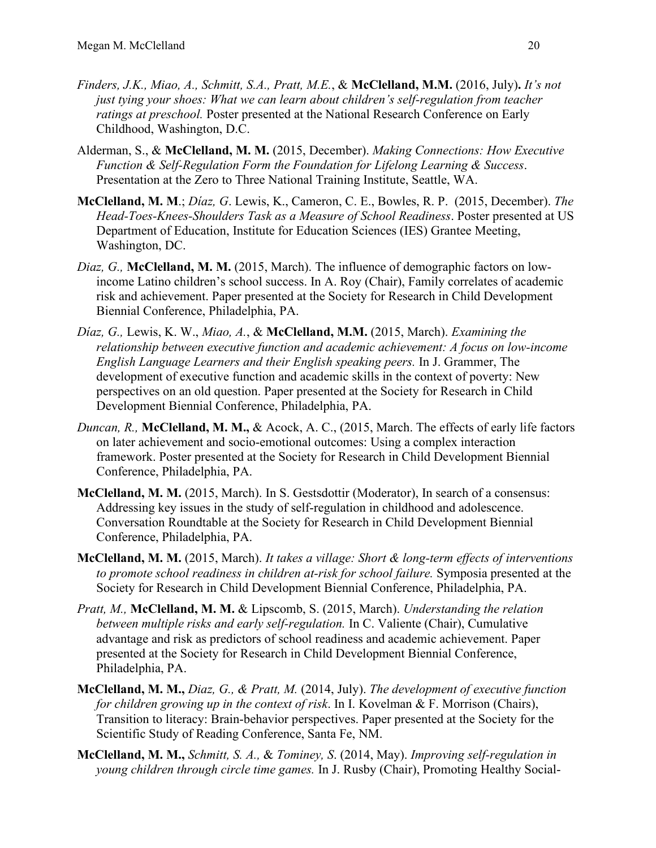- *Finders, J.K., Miao, A., Schmitt, S.A., Pratt, M.E.*, & **McClelland, M.M.** (2016, July)**.** *It's not just tying your shoes: What we can learn about children's self-regulation from teacher ratings at preschool.* Poster presented at the National Research Conference on Early Childhood, Washington, D.C.
- Alderman, S., & **McClelland, M. M.** (2015, December). *Making Connections: How Executive Function & Self-Regulation Form the Foundation for Lifelong Learning & Success*. Presentation at the Zero to Three National Training Institute, Seattle, WA.
- **McClelland, M. M**.; *Díaz, G*. Lewis, K., Cameron, C. E., Bowles, R. P. (2015, December). *The Head-Toes-Knees-Shoulders Task as a Measure of School Readiness*. Poster presented at US Department of Education, Institute for Education Sciences (IES) Grantee Meeting, Washington, DC.
- *Diaz, G.,* **McClelland, M. M.** (2015, March). The influence of demographic factors on lowincome Latino children's school success. In A. Roy (Chair), Family correlates of academic risk and achievement. Paper presented at the Society for Research in Child Development Biennial Conference, Philadelphia, PA.
- *Díaz, G.,* Lewis, K. W., *Miao, A.*, & **McClelland, M.M.** (2015, March). *Examining the relationship between executive function and academic achievement: A focus on low-income English Language Learners and their English speaking peers.* In J. Grammer, The development of executive function and academic skills in the context of poverty: New perspectives on an old question. Paper presented at the Society for Research in Child Development Biennial Conference, Philadelphia, PA.
- *Duncan, R.,* **McClelland, M. M.,** & Acock, A. C., (2015, March. The effects of early life factors on later achievement and socio-emotional outcomes: Using a complex interaction framework. Poster presented at the Society for Research in Child Development Biennial Conference, Philadelphia, PA.
- **McClelland, M. M.** (2015, March). In S. Gestsdottir (Moderator), In search of a consensus: Addressing key issues in the study of self-regulation in childhood and adolescence. Conversation Roundtable at the Society for Research in Child Development Biennial Conference, Philadelphia, PA.
- **McClelland, M. M.** (2015, March). *It takes a village: Short & long-term effects of interventions to promote school readiness in children at-risk for school failure.* Symposia presented at the Society for Research in Child Development Biennial Conference, Philadelphia, PA.
- *Pratt, M.,* **McClelland, M. M.** & Lipscomb, S. (2015, March). *Understanding the relation between multiple risks and early self-regulation.* In C. Valiente (Chair), Cumulative advantage and risk as predictors of school readiness and academic achievement. Paper presented at the Society for Research in Child Development Biennial Conference, Philadelphia, PA.
- **McClelland, M. M.,** *Diaz, G., & Pratt, M.* (2014, July). *The development of executive function for children growing up in the context of risk*. In I. Kovelman & F. Morrison (Chairs), Transition to literacy: Brain-behavior perspectives. Paper presented at the Society for the Scientific Study of Reading Conference, Santa Fe, NM.
- **McClelland, M. M.,** *Schmitt, S. A.,* & *Tominey, S*. (2014, May). *Improving self-regulation in young children through circle time games.* In J. Rusby (Chair), Promoting Healthy Social-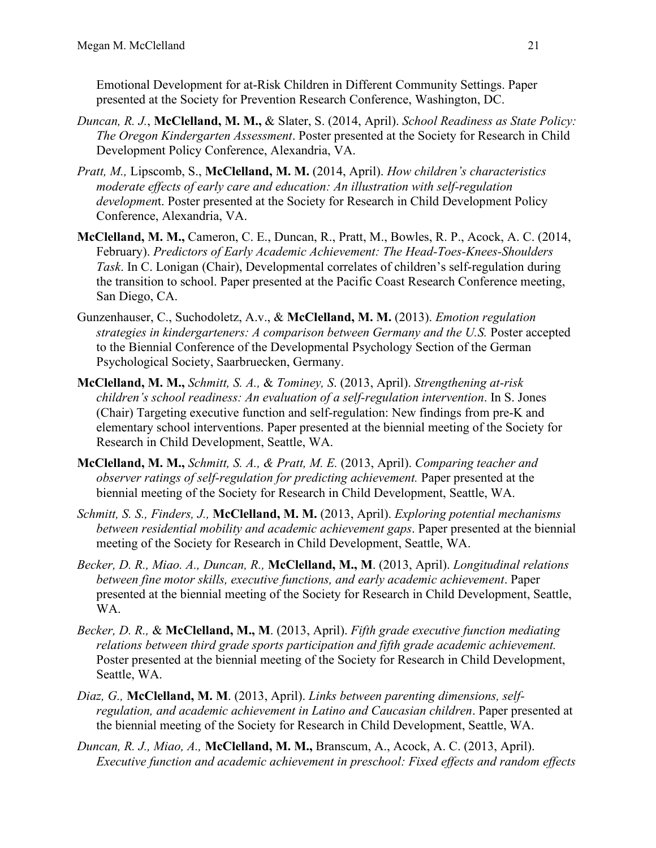Emotional Development for at-Risk Children in Different Community Settings. Paper presented at the Society for Prevention Research Conference, Washington, DC.

- *Duncan, R. J.*, **McClelland, M. M.,** & Slater, S. (2014, April). *School Readiness as State Policy: The Oregon Kindergarten Assessment*. Poster presented at the Society for Research in Child Development Policy Conference, Alexandria, VA.
- *Pratt, M.,* Lipscomb, S., **McClelland, M. M.** (2014, April). *How children's characteristics moderate effects of early care and education: An illustration with self-regulation developmen*t. Poster presented at the Society for Research in Child Development Policy Conference, Alexandria, VA.
- **McClelland, M. M.,** Cameron, C. E., Duncan, R., Pratt, M., Bowles, R. P., Acock, A. C. (2014, February). *Predictors of Early Academic Achievement: The Head-Toes-Knees-Shoulders Task*. In C. Lonigan (Chair), Developmental correlates of children's self-regulation during the transition to school. Paper presented at the Pacific Coast Research Conference meeting, San Diego, CA.
- Gunzenhauser, C., Suchodoletz, A.v., & **McClelland, M. M.** (2013). *Emotion regulation strategies in kindergarteners: A comparison between Germany and the U.S.* Poster accepted to the Biennial Conference of the Developmental Psychology Section of the German Psychological Society, Saarbruecken, Germany.
- **McClelland, M. M.,** *Schmitt, S. A.,* & *Tominey, S*. (2013, April). *Strengthening at-risk children's school readiness: An evaluation of a self-regulation intervention*. In S. Jones (Chair) Targeting executive function and self-regulation: New findings from pre-K and elementary school interventions. Paper presented at the biennial meeting of the Society for Research in Child Development, Seattle, WA.
- **McClelland, M. M.,** *Schmitt, S. A., & Pratt, M. E.* (2013, April). *Comparing teacher and observer ratings of self-regulation for predicting achievement.* Paper presented at the biennial meeting of the Society for Research in Child Development, Seattle, WA.
- *Schmitt, S. S., Finders, J.,* **McClelland, M. M.** (2013, April). *Exploring potential mechanisms between residential mobility and academic achievement gaps*. Paper presented at the biennial meeting of the Society for Research in Child Development, Seattle, WA.
- *Becker, D. R., Miao. A., Duncan, R.,* **McClelland, M., M**. (2013, April). *Longitudinal relations between fine motor skills, executive functions, and early academic achievement*. Paper presented at the biennial meeting of the Society for Research in Child Development, Seattle, WA.
- *Becker, D. R.,* & **McClelland, M., M**. (2013, April). *Fifth grade executive function mediating relations between third grade sports participation and fifth grade academic achievement.* Poster presented at the biennial meeting of the Society for Research in Child Development, Seattle, WA.
- *Diaz, G.,* **McClelland, M. M**. (2013, April). *Links between parenting dimensions, selfregulation, and academic achievement in Latino and Caucasian children*. Paper presented at the biennial meeting of the Society for Research in Child Development, Seattle, WA.
- *Duncan, R. J., Miao, A.,* **McClelland, M. M.,** Branscum, A., Acock, A. C. (2013, April). *Executive function and academic achievement in preschool: Fixed effects and random effects*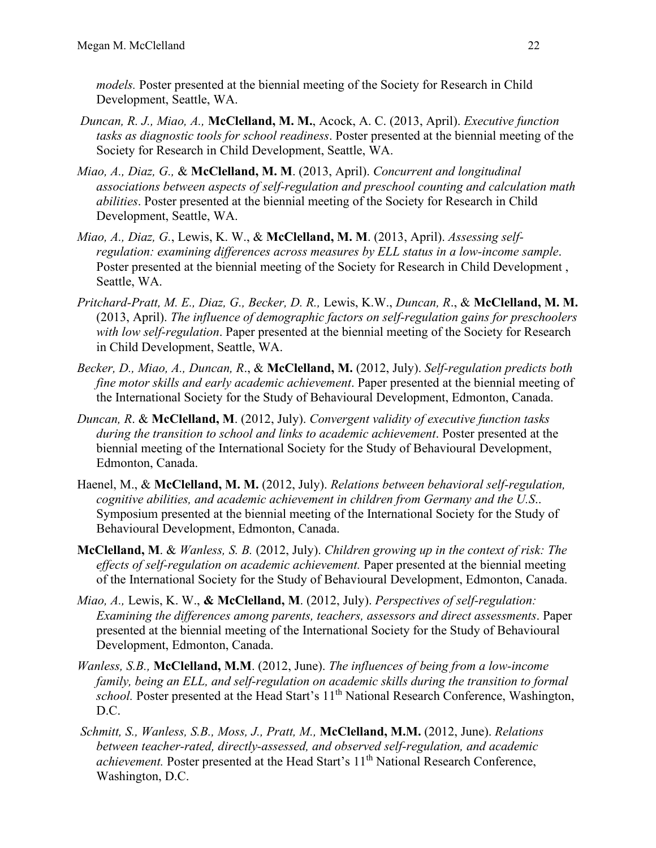*models.* Poster presented at the biennial meeting of the Society for Research in Child Development, Seattle, WA.

- *Duncan, R. J., Miao, A.,* **McClelland, M. M.**, Acock, A. C. (2013, April). *Executive function tasks as diagnostic tools for school readiness*. Poster presented at the biennial meeting of the Society for Research in Child Development, Seattle, WA.
- *Miao, A., Diaz, G.,* & **McClelland, M. M**. (2013, April). *Concurrent and longitudinal associations between aspects of self-regulation and preschool counting and calculation math abilities*. Poster presented at the biennial meeting of the Society for Research in Child Development, Seattle, WA.
- *Miao, A., Diaz, G.*, Lewis, K. W., & **McClelland, M. M**. (2013, April). *Assessing selfregulation: examining differences across measures by ELL status in a low-income sample*. Poster presented at the biennial meeting of the Society for Research in Child Development , Seattle, WA.
- *Pritchard-Pratt, M. E., Diaz, G., Becker, D. R.,* Lewis, K.W., *Duncan, R*., & **McClelland, M. M.** (2013, April). *The influence of demographic factors on self-regulation gains for preschoolers with low self-regulation*. Paper presented at the biennial meeting of the Society for Research in Child Development, Seattle, WA.
- *Becker, D., Miao, A., Duncan, R*., & **McClelland, M.** (2012, July). *Self-regulation predicts both fine motor skills and early academic achievement*. Paper presented at the biennial meeting of the International Society for the Study of Behavioural Development, Edmonton, Canada.
- *Duncan, R*. & **McClelland, M**. (2012, July). *Convergent validity of executive function tasks during the transition to school and links to academic achievement*. Poster presented at the biennial meeting of the International Society for the Study of Behavioural Development, Edmonton, Canada.
- Haenel, M., & **McClelland, M. M.** (2012, July). *Relations between behavioral self-regulation, cognitive abilities, and academic achievement in children from Germany and the U.S*.. Symposium presented at the biennial meeting of the International Society for the Study of Behavioural Development, Edmonton, Canada.
- **McClelland, M**. & *Wanless, S. B.* (2012, July). *Children growing up in the context of risk: The effects of self-regulation on academic achievement.* Paper presented at the biennial meeting of the International Society for the Study of Behavioural Development, Edmonton, Canada.
- *Miao, A.,* Lewis, K. W., **& McClelland, M**. (2012, July). *Perspectives of self-regulation: Examining the differences among parents, teachers, assessors and direct assessments*. Paper presented at the biennial meeting of the International Society for the Study of Behavioural Development, Edmonton, Canada.
- *Wanless, S.B.,* **McClelland, M.M**. (2012, June). *The influences of being from a low-income family, being an ELL, and self-regulation on academic skills during the transition to formal school.* Poster presented at the Head Start's 11<sup>th</sup> National Research Conference, Washington, D.C.
- *Schmitt, S., Wanless, S.B., Moss, J., Pratt, M.,* **McClelland, M.M.** (2012, June). *Relations between teacher-rated, directly-assessed, and observed self-regulation, and academic achievement.* Poster presented at the Head Start's 11<sup>th</sup> National Research Conference, Washington, D.C.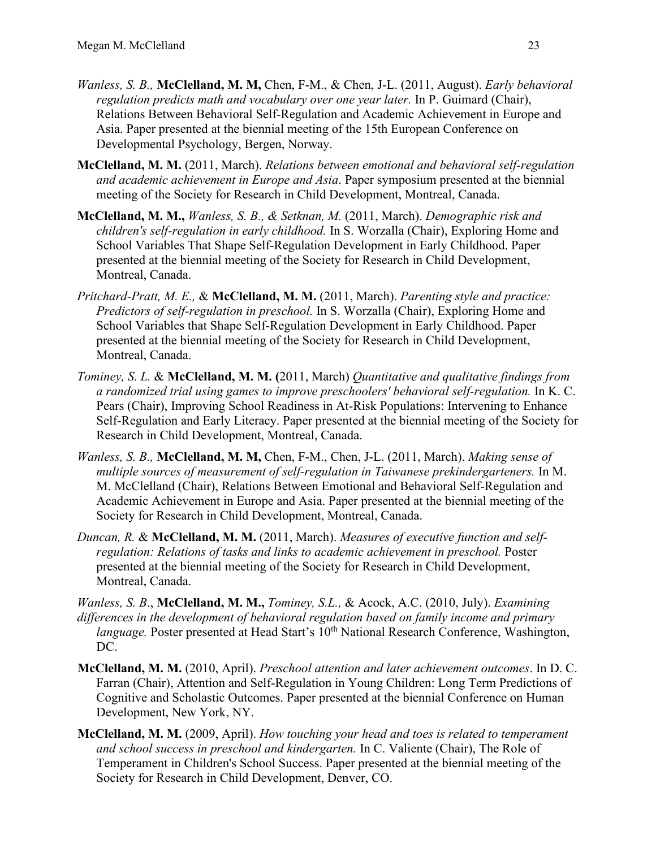- *Wanless, S. B.,* **McClelland, M. M,** Chen, F-M., & Chen, J-L. (2011, August). *Early behavioral regulation predicts math and vocabulary over one year later.* In P. Guimard (Chair), Relations Between Behavioral Self-Regulation and Academic Achievement in Europe and Asia. Paper presented at the biennial meeting of the 15th European Conference on Developmental Psychology, Bergen, Norway.
- **McClelland, M. M.** (2011, March). *Relations between emotional and behavioral self-regulation and academic achievement in Europe and Asia*. Paper symposium presented at the biennial meeting of the Society for Research in Child Development, Montreal, Canada.
- **McClelland, M. M.,** *Wanless, S. B., & Setknan, M.* (2011, March). *Demographic risk and children's self-regulation in early childhood.* In S. Worzalla (Chair), Exploring Home and School Variables That Shape Self-Regulation Development in Early Childhood. Paper presented at the biennial meeting of the Society for Research in Child Development, Montreal, Canada.
- *Pritchard-Pratt, M. E.,* & **McClelland, M. M.** (2011, March). *Parenting style and practice: Predictors of self-regulation in preschool.* In S. Worzalla (Chair), Exploring Home and School Variables that Shape Self-Regulation Development in Early Childhood. Paper presented at the biennial meeting of the Society for Research in Child Development, Montreal, Canada.
- *Tominey, S. L.* & **McClelland, M. M. (**2011, March) *Quantitative and qualitative findings from a randomized trial using games to improve preschoolers' behavioral self-regulation.* In K. C. Pears (Chair), Improving School Readiness in At-Risk Populations: Intervening to Enhance Self-Regulation and Early Literacy. Paper presented at the biennial meeting of the Society for Research in Child Development, Montreal, Canada.
- *Wanless, S. B.,* **McClelland, M. M,** Chen, F-M., Chen, J-L. (2011, March). *Making sense of multiple sources of measurement of self-regulation in Taiwanese prekindergarteners.* In M. M. McClelland (Chair), Relations Between Emotional and Behavioral Self-Regulation and Academic Achievement in Europe and Asia. Paper presented at the biennial meeting of the Society for Research in Child Development, Montreal, Canada.
- *Duncan, R.* & **McClelland, M. M.** (2011, March). *Measures of executive function and selfregulation: Relations of tasks and links to academic achievement in preschool.* Poster presented at the biennial meeting of the Society for Research in Child Development, Montreal, Canada.
- *Wanless, S. B*., **McClelland, M. M.,** *Tominey, S.L.,* & Acock, A.C. (2010, July). *Examining differences in the development of behavioral regulation based on family income and primary language.* Poster presented at Head Start's 10<sup>th</sup> National Research Conference, Washington, DC.
- **McClelland, M. M.** (2010, April). *Preschool attention and later achievement outcomes*. In D. C. Farran (Chair), Attention and Self-Regulation in Young Children: Long Term Predictions of Cognitive and Scholastic Outcomes. Paper presented at the biennial Conference on Human Development, New York, NY.
- **McClelland, M. M.** (2009, April). *How touching your head and toes is related to temperament and school success in preschool and kindergarten.* In C. Valiente (Chair), The Role of Temperament in Children's School Success. Paper presented at the biennial meeting of the Society for Research in Child Development, Denver, CO.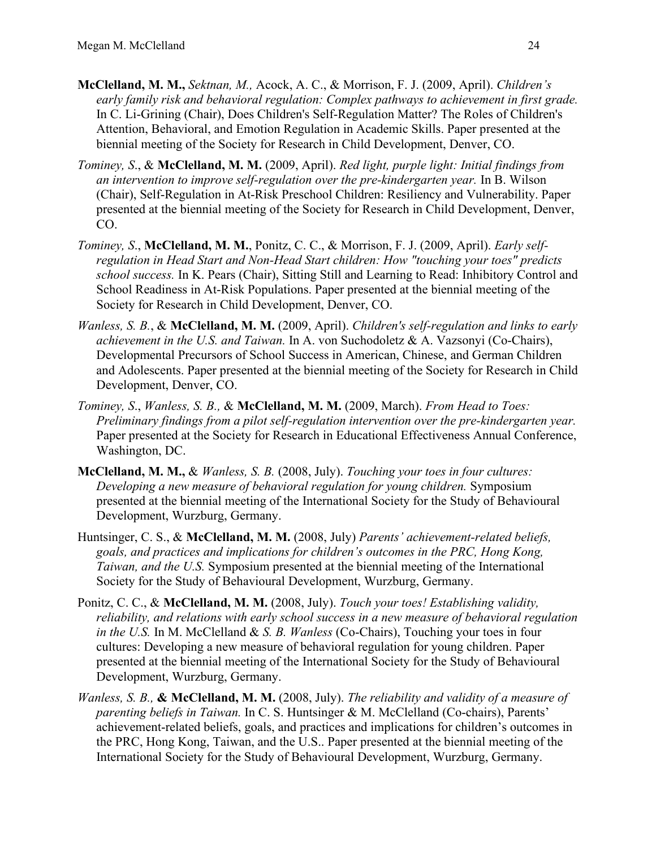- **McClelland, M. M.,** *Sektnan, M.,* Acock, A. C., & Morrison, F. J. (2009, April). *Children's early family risk and behavioral regulation: Complex pathways to achievement in first grade.* In C. Li-Grining (Chair), Does Children's Self-Regulation Matter? The Roles of Children's Attention, Behavioral, and Emotion Regulation in Academic Skills. Paper presented at the biennial meeting of the Society for Research in Child Development, Denver, CO.
- *Tominey, S*., & **McClelland, M. M.** (2009, April). *Red light, purple light: Initial findings from an intervention to improve self-regulation over the pre-kindergarten year.* In B. Wilson (Chair), Self-Regulation in At-Risk Preschool Children: Resiliency and Vulnerability. Paper presented at the biennial meeting of the Society for Research in Child Development, Denver, CO.
- *Tominey, S*., **McClelland, M. M.**, Ponitz, C. C., & Morrison, F. J. (2009, April). *Early selfregulation in Head Start and Non-Head Start children: How "touching your toes" predicts school success.* In K. Pears (Chair), Sitting Still and Learning to Read: Inhibitory Control and School Readiness in At-Risk Populations. Paper presented at the biennial meeting of the Society for Research in Child Development, Denver, CO.
- *Wanless, S. B.*, & **McClelland, M. M.** (2009, April). *Children's self-regulation and links to early achievement in the U.S. and Taiwan.* In A. von Suchodoletz & A. Vazsonyi (Co-Chairs), Developmental Precursors of School Success in American, Chinese, and German Children and Adolescents. Paper presented at the biennial meeting of the Society for Research in Child Development, Denver, CO.
- *Tominey, S*., *Wanless, S. B.,* & **McClelland, M. M.** (2009, March). *From Head to Toes: Preliminary findings from a pilot self-regulation intervention over the pre-kindergarten year.* Paper presented at the Society for Research in Educational Effectiveness Annual Conference, Washington, DC.
- **McClelland, M. M.,** & *Wanless, S. B.* (2008, July). *Touching your toes in four cultures: Developing a new measure of behavioral regulation for young children.* Symposium presented at the biennial meeting of the International Society for the Study of Behavioural Development, Wurzburg, Germany.
- Huntsinger, C. S., & **McClelland, M. M.** (2008, July) *Parents' achievement-related beliefs, goals, and practices and implications for children's outcomes in the PRC, Hong Kong, Taiwan, and the U.S.* Symposium presented at the biennial meeting of the International Society for the Study of Behavioural Development, Wurzburg, Germany.
- Ponitz, C. C., & **McClelland, M. M.** (2008, July). *Touch your toes! Establishing validity, reliability, and relations with early school success in a new measure of behavioral regulation in the U.S.* In M. McClelland & *S. B. Wanless* (Co-Chairs), Touching your toes in four cultures: Developing a new measure of behavioral regulation for young children. Paper presented at the biennial meeting of the International Society for the Study of Behavioural Development, Wurzburg, Germany.
- *Wanless, S. B.,* **& McClelland, M. M.** (2008, July). *The reliability and validity of a measure of parenting beliefs in Taiwan.* In C. S. Huntsinger & M. McClelland (Co-chairs), Parents' achievement-related beliefs, goals, and practices and implications for children's outcomes in the PRC, Hong Kong, Taiwan, and the U.S.. Paper presented at the biennial meeting of the International Society for the Study of Behavioural Development, Wurzburg, Germany.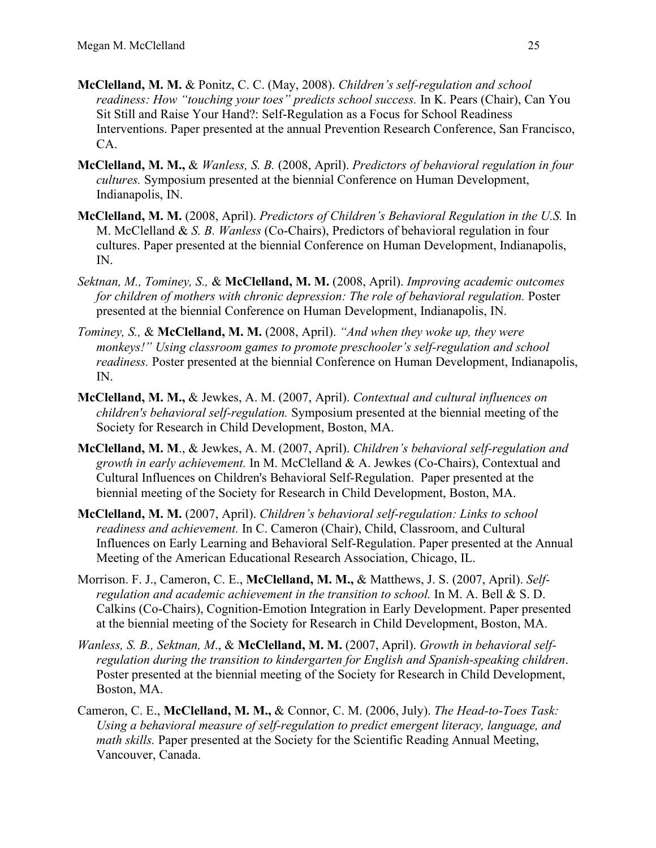- **McClelland, M. M.** & Ponitz, C. C. (May, 2008). *Children's self-regulation and school readiness: How "touching your toes" predicts school success.* In K. Pears (Chair), Can You Sit Still and Raise Your Hand?: Self-Regulation as a Focus for School Readiness Interventions. Paper presented at the annual Prevention Research Conference, San Francisco, CA.
- **McClelland, M. M.,** & *Wanless, S. B.* (2008, April). *Predictors of behavioral regulation in four cultures.* Symposium presented at the biennial Conference on Human Development, Indianapolis, IN.
- **McClelland, M. M.** (2008, April). *Predictors of Children's Behavioral Regulation in the U.S.* In M. McClelland & *S. B. Wanless* (Co-Chairs), Predictors of behavioral regulation in four cultures. Paper presented at the biennial Conference on Human Development, Indianapolis, IN.
- *Sektnan, M., Tominey, S.,* & **McClelland, M. M.** (2008, April). *Improving academic outcomes for children of mothers with chronic depression: The role of behavioral regulation.* Poster presented at the biennial Conference on Human Development, Indianapolis, IN.
- *Tominey, S.,* & **McClelland, M. M.** (2008, April). *"And when they woke up, they were monkeys!" Using classroom games to promote preschooler's self-regulation and school readiness.* Poster presented at the biennial Conference on Human Development, Indianapolis, IN.
- **McClelland, M. M.,** & Jewkes, A. M. (2007, April). *Contextual and cultural influences on children's behavioral self-regulation.* Symposium presented at the biennial meeting of the Society for Research in Child Development, Boston, MA.
- **McClelland, M. M**., & Jewkes, A. M. (2007, April). *Children's behavioral self-regulation and growth in early achievement.* In M. McClelland & A. Jewkes (Co-Chairs), Contextual and Cultural Influences on Children's Behavioral Self-Regulation. Paper presented at the biennial meeting of the Society for Research in Child Development, Boston, MA.
- **McClelland, M. M.** (2007, April). *Children's behavioral self-regulation: Links to school readiness and achievement.* In C. Cameron (Chair), Child, Classroom, and Cultural Influences on Early Learning and Behavioral Self-Regulation. Paper presented at the Annual Meeting of the American Educational Research Association, Chicago, IL.
- Morrison. F. J., Cameron, C. E., **McClelland, M. M.,** & Matthews, J. S. (2007, April). *Selfregulation and academic achievement in the transition to school.* In M. A. Bell & S. D. Calkins (Co-Chairs), Cognition-Emotion Integration in Early Development. Paper presented at the biennial meeting of the Society for Research in Child Development, Boston, MA.
- *Wanless, S. B., Sektnan, M*., & **McClelland, M. M.** (2007, April). *Growth in behavioral selfregulation during the transition to kindergarten for English and Spanish-speaking children*. Poster presented at the biennial meeting of the Society for Research in Child Development, Boston, MA.
- Cameron, C. E., **McClelland, M. M.,** & Connor, C. M. (2006, July). *The Head-to-Toes Task: Using a behavioral measure of self-regulation to predict emergent literacy, language, and math skills.* Paper presented at the Society for the Scientific Reading Annual Meeting, Vancouver, Canada.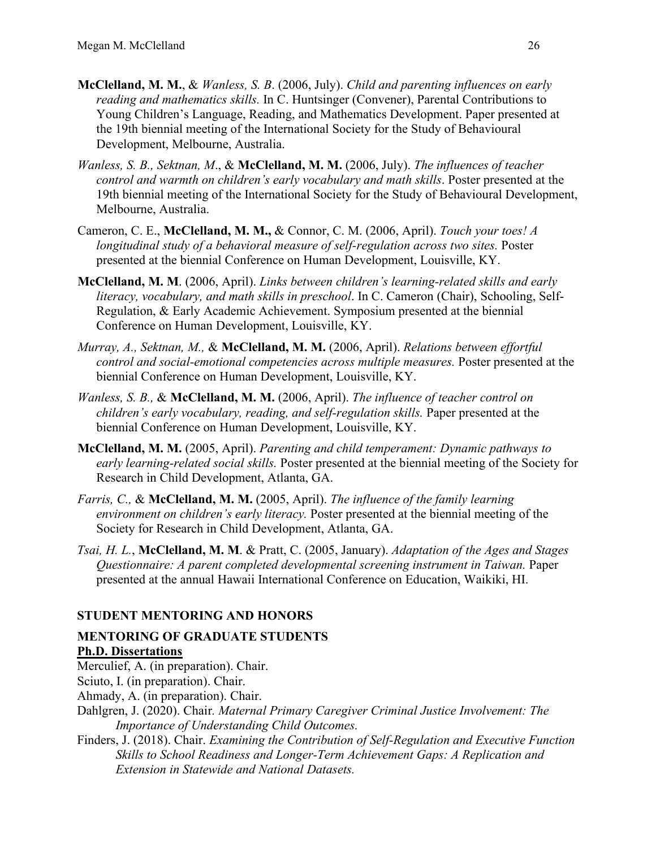- **McClelland, M. M.**, & *Wanless, S. B*. (2006, July). *Child and parenting influences on early reading and mathematics skills.* In C. Huntsinger (Convener), Parental Contributions to Young Children's Language, Reading, and Mathematics Development. Paper presented at the 19th biennial meeting of the International Society for the Study of Behavioural Development, Melbourne, Australia.
- *Wanless, S. B., Sektnan, M*., & **McClelland, M. M.** (2006, July). *The influences of teacher control and warmth on children's early vocabulary and math skills*. Poster presented at the 19th biennial meeting of the International Society for the Study of Behavioural Development, Melbourne, Australia.
- Cameron, C. E., **McClelland, M. M.,** & Connor, C. M. (2006, April). *Touch your toes! A*  longitudinal study of a behavioral measure of self-regulation across two sites. Poster presented at the biennial Conference on Human Development, Louisville, KY.
- **McClelland, M. M**. (2006, April). *Links between children's learning-related skills and early literacy, vocabulary, and math skills in preschool*. In C. Cameron (Chair), Schooling, Self-Regulation, & Early Academic Achievement. Symposium presented at the biennial Conference on Human Development, Louisville, KY.
- *Murray, A., Sektnan, M.,* & **McClelland, M. M.** (2006, April). *Relations between effortful control and social-emotional competencies across multiple measures.* Poster presented at the biennial Conference on Human Development, Louisville, KY.
- *Wanless, S. B.,* & **McClelland, M. M.** (2006, April). *The influence of teacher control on children's early vocabulary, reading, and self-regulation skills.* Paper presented at the biennial Conference on Human Development, Louisville, KY.
- **McClelland, M. M.** (2005, April). *Parenting and child temperament: Dynamic pathways to early learning-related social skills.* Poster presented at the biennial meeting of the Society for Research in Child Development, Atlanta, GA.
- *Farris, C.,* & **McClelland, M. M.** (2005, April). *The influence of the family learning environment on children's early literacy.* Poster presented at the biennial meeting of the Society for Research in Child Development, Atlanta, GA.
- *Tsai, H. L.*, **McClelland, M. M**. & Pratt, C. (2005, January). *Adaptation of the Ages and Stages Questionnaire: A parent completed developmental screening instrument in Taiwan.* Paper presented at the annual Hawaii International Conference on Education, Waikiki, HI.

# **STUDENT MENTORING AND HONORS**

#### **MENTORING OF GRADUATE STUDENTS Ph.D. Dissertations**

- Merculief, A. (in preparation). Chair.
- Sciuto, I. (in preparation). Chair.
- Ahmady, A. (in preparation). Chair.
- Dahlgren, J. (2020). Chair*. Maternal Primary Caregiver Criminal Justice Involvement: The Importance of Understanding Child Outcomes.*
- Finders, J. (2018). Chair. *Examining the Contribution of Self-Regulation and Executive Function Skills to School Readiness and Longer-Term Achievement Gaps: A Replication and Extension in Statewide and National Datasets.*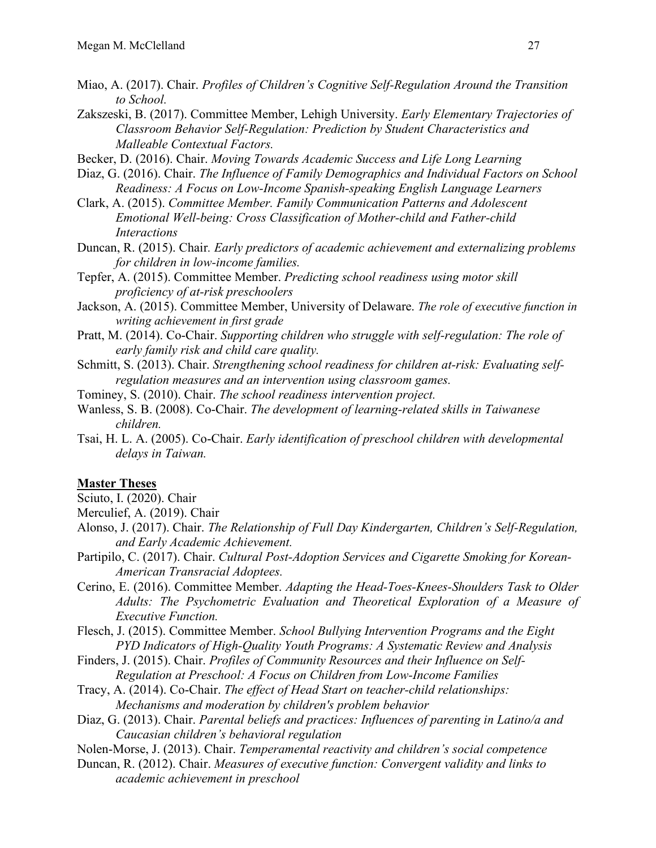- Miao, A. (2017). Chair. *Profiles of Children's Cognitive Self-Regulation Around the Transition to School.*
- Zakszeski, B. (2017). Committee Member, Lehigh University. *Early Elementary Trajectories of Classroom Behavior Self-Regulation: Prediction by Student Characteristics and Malleable Contextual Factors.*
- Becker, D. (2016). Chair. *Moving Towards Academic Success and Life Long Learning*
- Diaz, G. (2016). Chair. *The Influence of Family Demographics and Individual Factors on School Readiness: A Focus on Low-Income Spanish-speaking English Language Learners*
- Clark, A. (2015). *Committee Member. Family Communication Patterns and Adolescent Emotional Well-being: Cross Classification of Mother-child and Father-child Interactions*
- Duncan, R. (2015). Chair*. Early predictors of academic achievement and externalizing problems for children in low-income families.*
- Tepfer, A. (2015). Committee Member. *Predicting school readiness using motor skill proficiency of at-risk preschoolers*
- Jackson, A. (2015). Committee Member, University of Delaware. *The role of executive function in writing achievement in first grade*
- Pratt, M. (2014). Co-Chair. *Supporting children who struggle with self-regulation: The role of early family risk and child care quality.*
- Schmitt, S. (2013). Chair. *Strengthening school readiness for children at-risk: Evaluating selfregulation measures and an intervention using classroom games.*
- Tominey, S. (2010). Chair. *The school readiness intervention project.*
- Wanless, S. B. (2008). Co-Chair. *The development of learning-related skills in Taiwanese children.*
- Tsai, H. L. A. (2005). Co-Chair. *Early identification of preschool children with developmental delays in Taiwan.*

#### **Master Theses**

Sciuto, I. (2020). Chair

- Merculief, A. (2019). Chair
- Alonso, J. (2017). Chair. *The Relationship of Full Day Kindergarten, Children's Self-Regulation, and Early Academic Achievement.*
- Partipilo, C. (2017). Chair. *Cultural Post-Adoption Services and Cigarette Smoking for Korean-American Transracial Adoptees.*
- Cerino, E. (2016). Committee Member. *Adapting the Head-Toes-Knees-Shoulders Task to Older Adults: The Psychometric Evaluation and Theoretical Exploration of a Measure of Executive Function.*
- Flesch, J. (2015). Committee Member. *School Bullying Intervention Programs and the Eight PYD Indicators of High-Quality Youth Programs: A Systematic Review and Analysis*
- Finders, J. (2015). Chair. *Profiles of Community Resources and their Influence on Self-Regulation at Preschool: A Focus on Children from Low-Income Families*
- Tracy, A. (2014). Co-Chair. *The effect of Head Start on teacher-child relationships: Mechanisms and moderation by children's problem behavior*
- Diaz, G. (2013). Chair. *Parental beliefs and practices: Influences of parenting in Latino/a and Caucasian children's behavioral regulation*
- Nolen-Morse, J. (2013). Chair. *Temperamental reactivity and children's social competence*
- Duncan, R. (2012). Chair. *Measures of executive function: Convergent validity and links to academic achievement in preschool*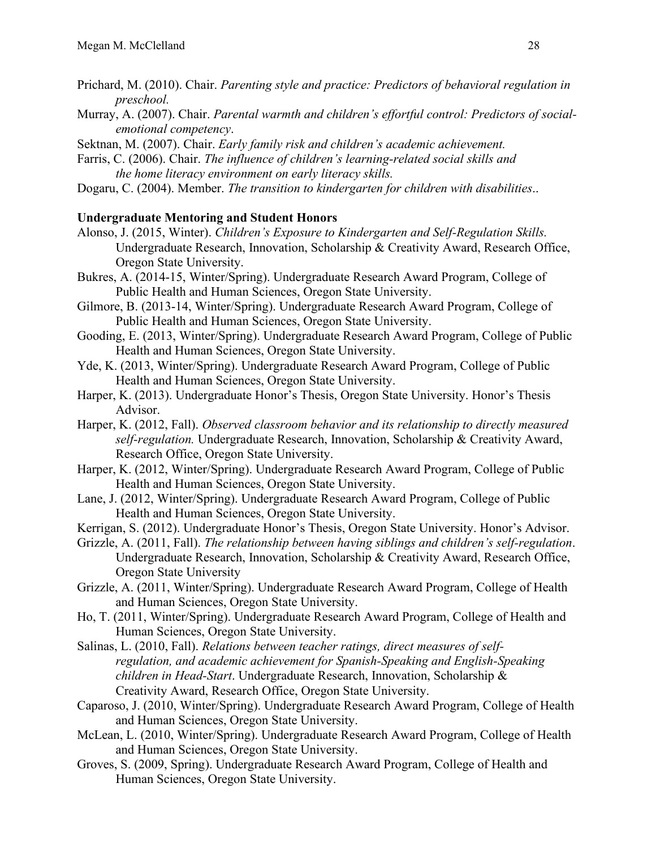- Prichard, M. (2010). Chair. *Parenting style and practice: Predictors of behavioral regulation in preschool.*
- Murray, A. (2007). Chair. *Parental warmth and children's effortful control: Predictors of socialemotional competency*.
- Sektnan, M. (2007). Chair. *Early family risk and children's academic achievement.*
- Farris, C. (2006). Chair. *The influence of children's learning-related social skills and the home literacy environment on early literacy skills.*
- Dogaru, C. (2004). Member. *The transition to kindergarten for children with disabilities*..

#### **Undergraduate Mentoring and Student Honors**

- Alonso, J. (2015, Winter). *Children's Exposure to Kindergarten and Self-Regulation Skills.* Undergraduate Research, Innovation, Scholarship & Creativity Award, Research Office, Oregon State University.
- Bukres, A. (2014-15, Winter/Spring). Undergraduate Research Award Program, College of Public Health and Human Sciences, Oregon State University.
- Gilmore, B. (2013-14, Winter/Spring). Undergraduate Research Award Program, College of Public Health and Human Sciences, Oregon State University.
- Gooding, E. (2013, Winter/Spring). Undergraduate Research Award Program, College of Public Health and Human Sciences, Oregon State University.
- Yde, K. (2013, Winter/Spring). Undergraduate Research Award Program, College of Public Health and Human Sciences, Oregon State University.
- Harper, K. (2013). Undergraduate Honor's Thesis, Oregon State University. Honor's Thesis Advisor.
- Harper, K. (2012, Fall). *Observed classroom behavior and its relationship to directly measured self-regulation.* Undergraduate Research, Innovation, Scholarship & Creativity Award, Research Office, Oregon State University.
- Harper, K. (2012, Winter/Spring). Undergraduate Research Award Program, College of Public Health and Human Sciences, Oregon State University.
- Lane, J. (2012, Winter/Spring). Undergraduate Research Award Program, College of Public Health and Human Sciences, Oregon State University.
- Kerrigan, S. (2012). Undergraduate Honor's Thesis, Oregon State University. Honor's Advisor.
- Grizzle, A. (2011, Fall). *The relationship between having siblings and children's self-regulation*. Undergraduate Research, Innovation, Scholarship & Creativity Award, Research Office, Oregon State University
- Grizzle, A. (2011, Winter/Spring). Undergraduate Research Award Program, College of Health and Human Sciences, Oregon State University.
- Ho, T. (2011, Winter/Spring). Undergraduate Research Award Program, College of Health and Human Sciences, Oregon State University.
- Salinas, L. (2010, Fall). *Relations between teacher ratings, direct measures of selfregulation, and academic achievement for Spanish-Speaking and English-Speaking children in Head-Start*. Undergraduate Research, Innovation, Scholarship & Creativity Award, Research Office, Oregon State University.
- Caparoso, J. (2010, Winter/Spring). Undergraduate Research Award Program, College of Health and Human Sciences, Oregon State University.
- McLean, L. (2010, Winter/Spring). Undergraduate Research Award Program, College of Health and Human Sciences, Oregon State University.
- Groves, S. (2009, Spring). Undergraduate Research Award Program, College of Health and Human Sciences, Oregon State University.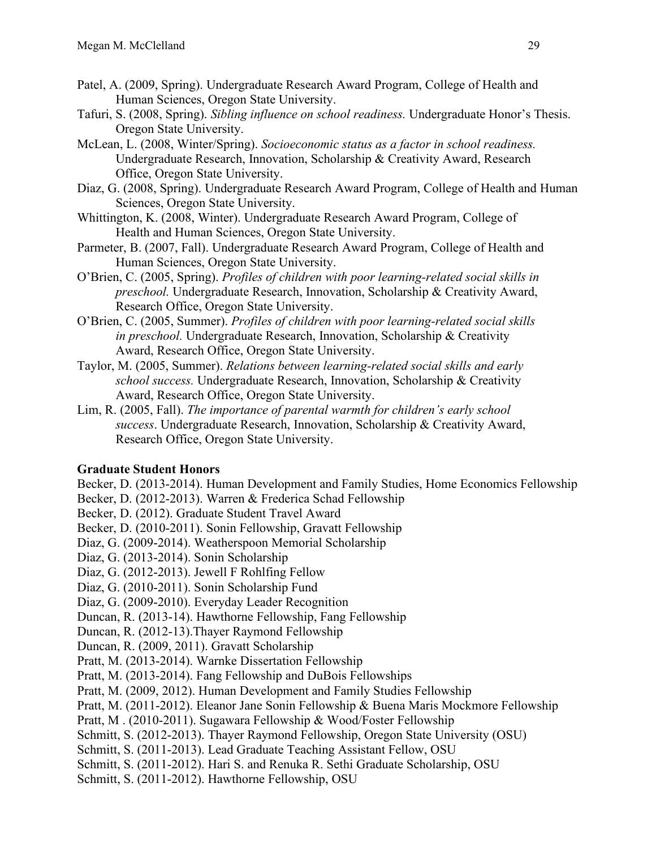- Patel, A. (2009, Spring). Undergraduate Research Award Program, College of Health and Human Sciences, Oregon State University.
- Tafuri, S. (2008, Spring). *Sibling influence on school readiness.* Undergraduate Honor's Thesis. Oregon State University.
- McLean, L. (2008, Winter/Spring). *Socioeconomic status as a factor in school readiness.* Undergraduate Research, Innovation, Scholarship & Creativity Award, Research Office, Oregon State University.
- Diaz, G. (2008, Spring). Undergraduate Research Award Program, College of Health and Human Sciences, Oregon State University.
- Whittington, K. (2008, Winter). Undergraduate Research Award Program, College of Health and Human Sciences, Oregon State University.
- Parmeter, B. (2007, Fall). Undergraduate Research Award Program, College of Health and Human Sciences, Oregon State University.
- O'Brien, C. (2005, Spring). *Profiles of children with poor learning-related social skills in preschool.* Undergraduate Research, Innovation, Scholarship & Creativity Award, Research Office, Oregon State University.
- O'Brien, C. (2005, Summer). *Profiles of children with poor learning-related social skills in preschool.* Undergraduate Research, Innovation, Scholarship & Creativity Award, Research Office, Oregon State University.
- Taylor, M. (2005, Summer). *Relations between learning-related social skills and early school success.* Undergraduate Research, Innovation, Scholarship & Creativity Award, Research Office, Oregon State University.
- Lim, R. (2005, Fall). *The importance of parental warmth for children's early school success*. Undergraduate Research, Innovation, Scholarship & Creativity Award, Research Office, Oregon State University.

# **Graduate Student Honors**

Becker, D. (2013-2014). Human Development and Family Studies, Home Economics Fellowship

Becker, D. (2012-2013). Warren & Frederica Schad Fellowship

Becker, D. (2012). Graduate Student Travel Award

Becker, D. (2010-2011). Sonin Fellowship, Gravatt Fellowship

Diaz, G. (2009-2014). Weatherspoon Memorial Scholarship

Diaz, G. (2013-2014). Sonin Scholarship

- Diaz, G. (2012-2013). Jewell F Rohlfing Fellow
- Diaz, G. (2010-2011). Sonin Scholarship Fund
- Diaz, G. (2009-2010). Everyday Leader Recognition

Duncan, R. (2013-14). Hawthorne Fellowship, Fang Fellowship

Duncan, R. (2012-13).Thayer Raymond Fellowship

Duncan, R. (2009, 2011). Gravatt Scholarship

Pratt, M. (2013-2014). Warnke Dissertation Fellowship

Pratt, M. (2013-2014). Fang Fellowship and DuBois Fellowships

Pratt, M. (2009, 2012). Human Development and Family Studies Fellowship

Pratt, M. (2011-2012). Eleanor Jane Sonin Fellowship & Buena Maris Mockmore Fellowship

Pratt, M . (2010-2011). Sugawara Fellowship & Wood/Foster Fellowship

Schmitt, S. (2012-2013). Thayer Raymond Fellowship, Oregon State University (OSU)

Schmitt, S. (2011-2013). Lead Graduate Teaching Assistant Fellow, OSU

Schmitt, S. (2011-2012). Hari S. and Renuka R. Sethi Graduate Scholarship, OSU

Schmitt, S. (2011-2012). Hawthorne Fellowship, OSU